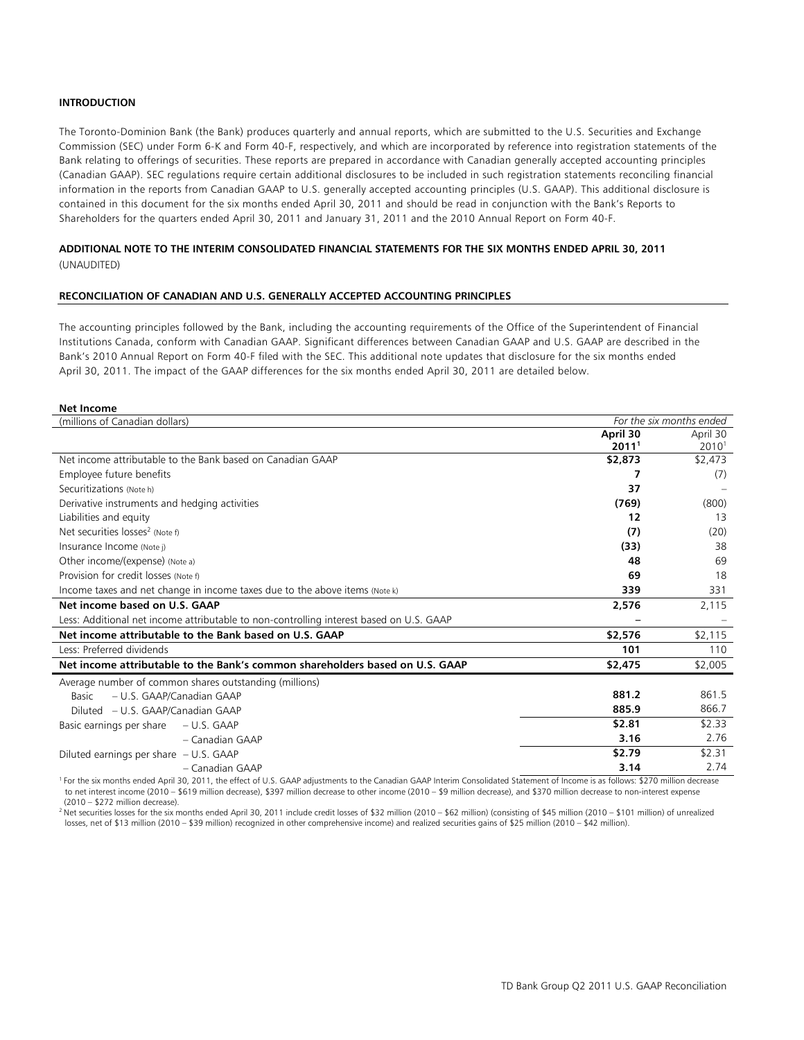## **INTRODUCTION**

The Toronto-Dominion Bank (the Bank) produces quarterly and annual reports, which are submitted to the U.S. Securities and Exchange Commission (SEC) under Form 6-K and Form 40-F, respectively, and which are incorporated by reference into registration statements of the Bank relating to offerings of securities. These reports are prepared in accordance with Canadian generally accepted accounting principles (Canadian GAAP). SEC regulations require certain additional disclosures to be included in such registration statements reconciling financial information in the reports from Canadian GAAP to U.S. generally accepted accounting principles (U.S. GAAP). This additional disclosure is contained in this document for the six months ended April 30, 2011 and should be read in conjunction with the Bank's Reports to Shareholders for the quarters ended April 30, 2011 and January 31, 2011 and the 2010 Annual Report on Form 40-F.

## **ADDITIONAL NOTE TO THE INTERIM CONSOLIDATED FINANCIAL STATEMENTS FOR THE SIX MONTHS ENDED APRIL 30, 2011**  (UNAUDITED)

## **RECONCILIATION OF CANADIAN AND U.S. GENERALLY ACCEPTED ACCOUNTING PRINCIPLES**

The accounting principles followed by the Bank, including the accounting requirements of the Office of the Superintendent of Financial Institutions Canada, conform with Canadian GAAP. Significant differences between Canadian GAAP and U.S. GAAP are described in the Bank's 2010 Annual Report on Form 40-F filed with the SEC. This additional note updates that disclosure for the six months ended April 30, 2011. The impact of the GAAP differences for the six months ended April 30, 2011 are detailed below.

#### **Net Income**

| (millions of Canadian dollars)                                                          |                   | For the six months ended |
|-----------------------------------------------------------------------------------------|-------------------|--------------------------|
|                                                                                         | April 30          | April 30                 |
|                                                                                         | 2011 <sup>1</sup> | 2010 <sup>1</sup>        |
| Net income attributable to the Bank based on Canadian GAAP                              | \$2,873           | \$2,473                  |
| Employee future benefits                                                                | 7                 | (7)                      |
| Securitizations (Note h)                                                                | 37                |                          |
| Derivative instruments and hedging activities                                           | (769)             | (800)                    |
| Liabilities and equity                                                                  | 12                | 13                       |
| Net securities losses <sup>2</sup> (Note f)                                             | (7)               | (20)                     |
| Insurance Income (Note j)                                                               | (33)              | 38                       |
| Other income/(expense) (Note a)                                                         | 48                | 69                       |
| Provision for credit losses (Note f)                                                    | 69                | 18                       |
| Income taxes and net change in income taxes due to the above items (Note k)             | 339               | 331                      |
| Net income based on U.S. GAAP                                                           | 2,576             | 2,115                    |
| Less: Additional net income attributable to non-controlling interest based on U.S. GAAP |                   |                          |
| Net income attributable to the Bank based on U.S. GAAP                                  | \$2,576           | \$2,115                  |
| Less: Preferred dividends                                                               | 101               | 110                      |
| Net income attributable to the Bank's common shareholders based on U.S. GAAP            | \$2,475           | \$2,005                  |
| Average number of common shares outstanding (millions)                                  |                   |                          |
| - U.S. GAAP/Canadian GAAP<br>Basic                                                      | 881.2             | 861.5                    |
| Diluted – U.S. GAAP/Canadian GAAP                                                       | 885.9             | 866.7                    |
| Basic earnings per share<br>$- U.S. GAAP$                                               | \$2.81            | \$2.33                   |
| - Canadian GAAP                                                                         | 3.16              | 2.76                     |
| Diluted earnings per share $- U.S. G AAP$                                               | \$2.79            | \$2.31                   |
| - Canadian GAAP                                                                         | 3.14              | 2.74                     |

<sup>1</sup> For the six months ended April 30, 2011, the effect of U.S. GAAP adjustments to the Canadian GAAP Interim Consolidated Statement of Income is as follows: \$270 million decrease to net interest income (2010 – \$619 million decrease), \$397 million decrease to other income (2010 – \$9 million decrease), and \$370 million decrease to non-interest expense (2010 – \$272 million decrease).

<sup>2</sup> Net securities losses for the six months ended April 30, 2011 include credit losses of \$32 million (2010 – \$62 million) (consisting of \$45 million (2010 – \$101 million) of unrealized losses, net of \$13 million (2010 – \$39 million) recognized in other comprehensive income) and realized securities gains of \$25 million (2010 – \$42 million).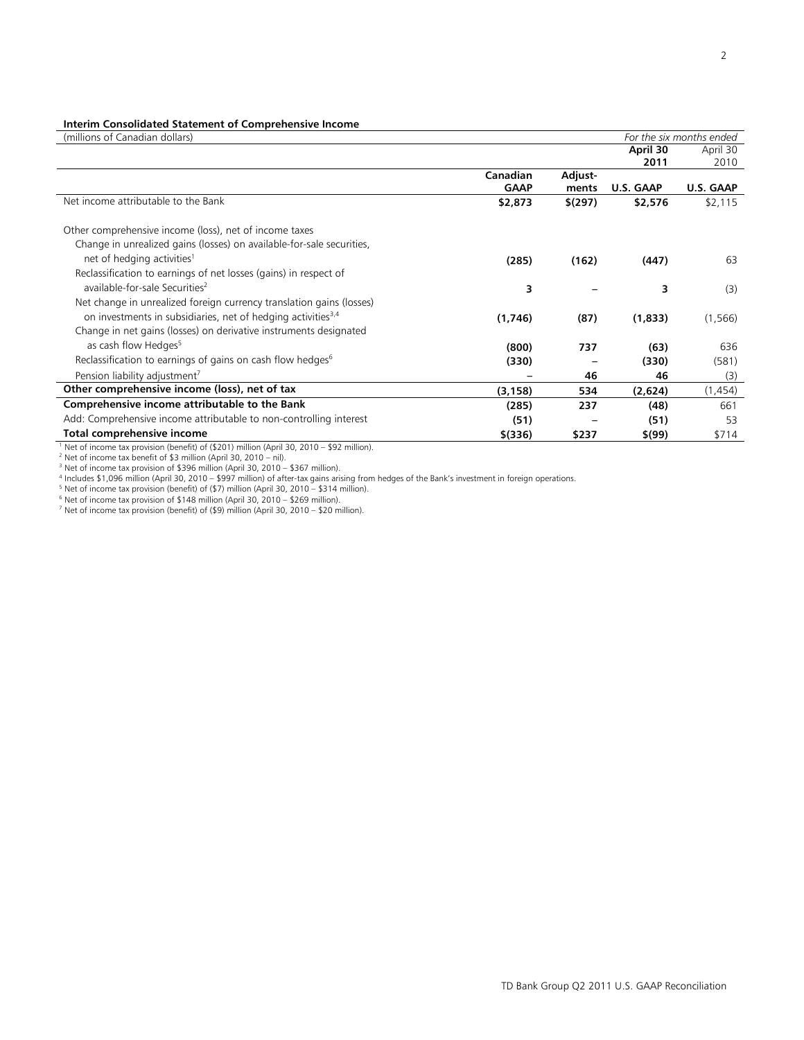## **Interim Consolidated Statement of Comprehensive Income**

| (millions of Canadian dollars)                                                                         |             |             |           | For the six months ended |
|--------------------------------------------------------------------------------------------------------|-------------|-------------|-----------|--------------------------|
|                                                                                                        |             |             | April 30  | April 30                 |
|                                                                                                        |             |             | 2011      | 2010                     |
|                                                                                                        | Canadian    | Adjust-     |           |                          |
|                                                                                                        | <b>GAAP</b> | ments       | U.S. GAAP | U.S. GAAP                |
| Net income attributable to the Bank                                                                    | \$2,873     | $$^{(297)}$ | \$2,576   | \$2,115                  |
|                                                                                                        |             |             |           |                          |
| Other comprehensive income (loss), net of income taxes                                                 |             |             |           |                          |
| Change in unrealized gains (losses) on available-for-sale securities,                                  |             |             |           |                          |
| net of hedging activities <sup>1</sup>                                                                 | (285)       | (162)       | (447)     | 63                       |
| Reclassification to earnings of net losses (gains) in respect of                                       |             |             |           |                          |
| available-for-sale Securities <sup>2</sup>                                                             | 3           |             | 3         | (3)                      |
| Net change in unrealized foreign currency translation gains (losses)                                   |             |             |           |                          |
| on investments in subsidiaries, net of hedging activities <sup>3,4</sup>                               | (1,746)     | (87)        | (1,833)   | (1, 566)                 |
| Change in net gains (losses) on derivative instruments designated                                      |             |             |           |                          |
| as cash flow Hedges <sup>5</sup>                                                                       | (800)       | 737         | (63)      | 636                      |
| Reclassification to earnings of gains on cash flow hedges <sup>6</sup>                                 | (330)       |             | (330)     | (581)                    |
| Pension liability adjustment <sup>7</sup>                                                              |             | 46          | 46        | (3)                      |
|                                                                                                        |             |             |           |                          |
| Other comprehensive income (loss), net of tax                                                          | (3, 158)    | 534         | (2,624)   | (1,454)                  |
| Comprehensive income attributable to the Bank                                                          | (285)       | 237         | (48)      | 661                      |
| Add: Comprehensive income attributable to non-controlling interest                                     | (51)        |             | (51)      | 53                       |
| Total comprehensive income                                                                             | $$$ (336)   | \$237       | \$(99)    | \$714                    |
| <sup>1</sup> Net of income tax provision (benefit) of (\$201) million (April 30, 2010 – \$92 million). |             |             |           |                          |
| <sup>2</sup> Net of income tax benefit of \$3 million (April 30, 2010 - nil).                          |             |             |           |                          |

<sup>3</sup> Net of income tax provision of \$396 million (April 30, 2010 – \$367 million).

<sup>4</sup> Includes \$1,096 million (April 30, 2010 – \$997 million) of after-tax gains arising from hedges of the Bank's investment in foreign operations.<br><sup>5</sup> Not of income tax provision (bonefit) of (\$7) million (April 30, 2010 –

<sup>5</sup> Net of income tax provision (benefit) of (\$7) million (April 30, 2010 – \$314 million).<br><sup>6</sup> Net of income tax provision of \$148 million (April 30, 2010 – \$269 million).

7 Net of income tax provision (benefit) of (\$9) million (April 30, 2010 – \$20 million).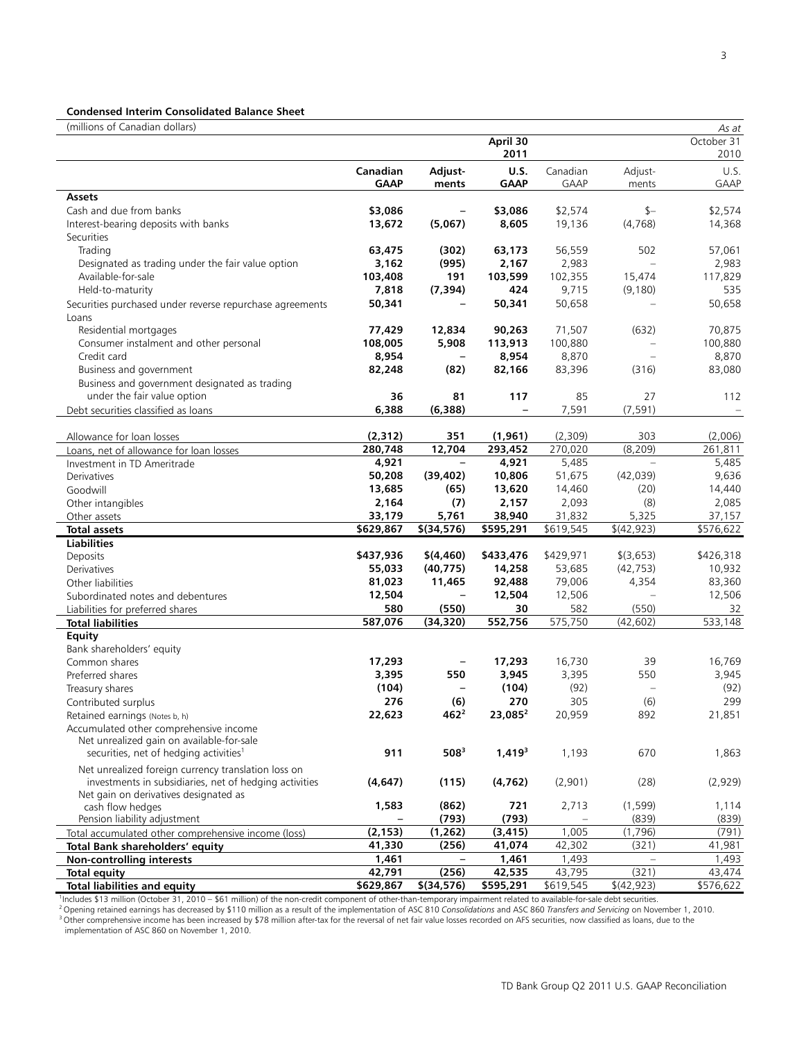#### **Condensed Interim Consolidated Balance Sheet**

(millions of Canadian dollars) *As at* **April 30 2011** October 31 2010 **Canadian GAAP Adjustments U.S. GAAP** Canadian GAAP Adjustments  $115$ GAAP **Assets**  Cash and due from banks **\$3,086 – \$3,086** \$2,574 \$– \$2,574 Interest-bearing deposits with banks **13,672 (5,067) 8,605** 19,136 (4,768) 14,368 **Securities** Trading **63,475 (302) 63,173** 56,559 502 57,061 Designated as trading under the fair value option **3,162 (995) 2,167** 2,983 – 2,983 Available-for-sale **103,408 191 103,599** 102,355 15,474 117,829 Held-to-maturity **7,818 (7,394) 424** 9,715 (9,180) 535 Securities purchased under reverse repurchase agreements **50,341 – 50,341** 50,658 – 50,658 Loans Residential mortgages **77,429 12,834 90,263** 71,507 (632) 70,875 Consumer instalment and other personal **108,005 5,908 113,913** 100,880 – 100,880 Credit card **8,954 – 8,954** 8,870 – 8,870 Business and government **82,248 (82) 82,166** 83,396 (316) 83,080 Business and government designated as trading under the fair value option **36 81 117** 85 27 112 Debt securities classified as loans **6,388 (6,388) –** 7,591 (7,591) – Allowance for loan losses **(2,312) 351 (1,961)** (2,309) 303 (2,006) Loans, net of allowance for loan losses **280,748 12,704 293,452** 270,020 (8,209) 261,811 Investment in TD Ameritrade **4,921 – 4,921** 5,485 – 5,485 Derivatives **50,208 (39,402) 10,806** 51,675 (42,039) 9,636 Goodwill **13,685 (65) 13,620** 14,460 (20) 14,440 Other intangibles **2,164** (1) 2,157 2,093 (8) 2,085<br>
Other assets 33,179 3,761 38,940 31,832 5,325 37,157 Other assets **33,179 5,761 38,940** 31,832 5,325 37,157 **Total assets \$629,867 \$(34,576) \$595,291** \$619,545 \$(42,923) \$576,622 **Liabilities**  Deposits **\$437,936 \$(4,460) \$433,476** \$429,971 \$(3,653) \$426,318 Derivatives **55,033 (40,775) 14,258** 53,685 (42,753) 10,932 Other liabilities **81,023 11,465 92,488** 79,006 4,354 83,360 Subordinated notes and debentures **12,504 – 12,504** 12,506 – 12,506 Liabilities for preferred shares **580 (550) 30** 582 (550) 32 **Total liabilities 587,076 (34,320) 552,756** 575,750 (42,602) 533,148 **Equity** Bank shareholders' equity Common shares **17,293 – 17,293** 16,730 39 16,769 Preferred shares **3,395 550 3,945** 3,395 550 3,945 Treasury shares **(104) – (104)** (92) – (92) Contributed surplus **276 (6) 270** 305 (6) 299 Retained earnings (Notes b, h) Accumulated other comprehensive income Net unrealized gain on available-for-sale securities, net of hedging activities1 **911 5083 1,4193** 1,193 670 1,863 Net unrealized foreign currency translation loss on investments in subsidiaries, net of hedging activities **(4,647) (115) (4,762)** (2,901) (28) (2,929) Net gain on derivatives designated as cash flow hedges **1,583** (862) 721 2,713 (1,599) 1,114<br>Pension liability adjustment **1,000 1,114** (1939) 1,114 Pension liability adjustment<br>
tal accumulated other comprehensive income (loss) (2,153) (1,262) (3,415) 1,005 (1,796) Total accumulated other comprehensive income (loss) **(2,153) (1,262) (3,415)** 1,005 (1,796) (791) **Total Bank shareholders' equity 1,461** – 1,4**61** – 1,493 – 1,493<br> **1,493** – 1,493<br> **1,493** – 1,493<br> **1,493** – 1,493<br> **1,493** – 1,493<br> **1,493** – 1,493<br> **1,493** – 1,493 **Total equity 42,791 (256) 42,535** 43,795 (321) 43,474 **Total liabilities and equity \$629,867 \$(34,576) \$595,291** \$619,545 \$(42,923) \$576,622

Includes \$13 million (October 31, 2010 – \$61 million) of the non-credit component of other-than-temporary impairment related to available-for-sale debt securities.

<sup>2</sup> Opening retained earnings has decreased by \$110 million as a result of the implementation of ASC 810 Consolidations and ASC 860 Transfers and Servicing on November 1, 2010.<br><sup>3</sup> Other comprehensive income has been incre

implementation of ASC 860 on November 1, 2010.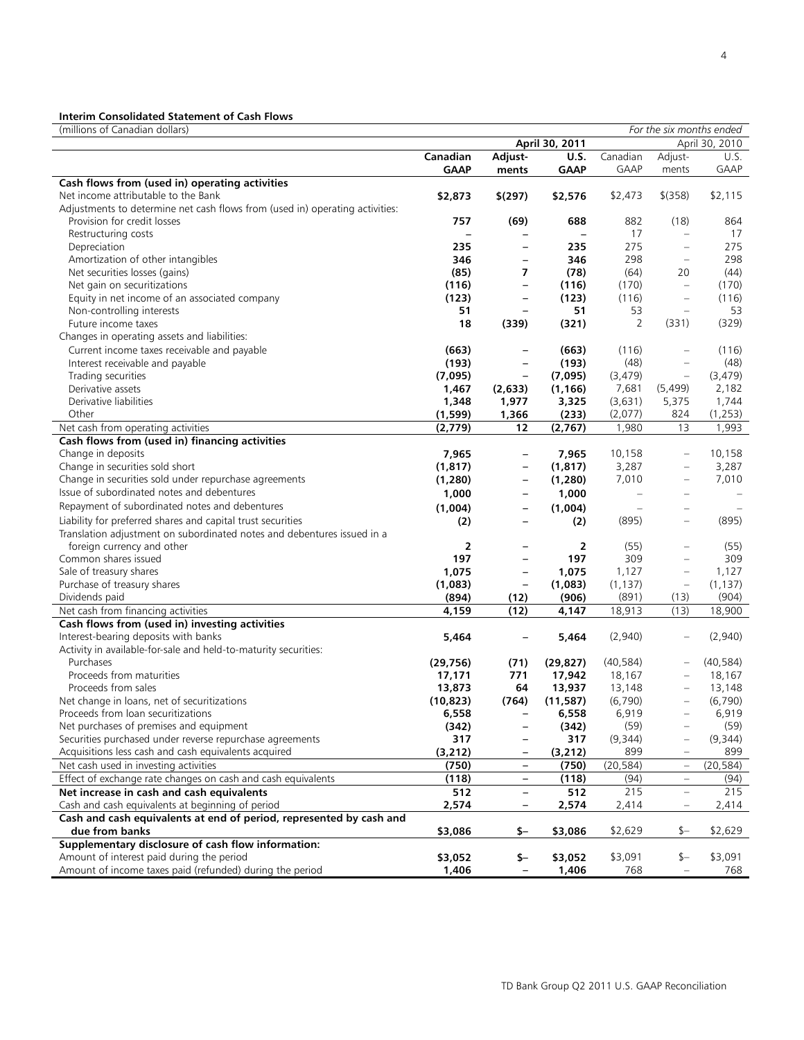# **Interim Consolidated Statement of Cash Flows**

| (millions of Canadian dollars)                                               |             |                          |                |               |                          | For the six months ended |
|------------------------------------------------------------------------------|-------------|--------------------------|----------------|---------------|--------------------------|--------------------------|
|                                                                              |             |                          | April 30, 2011 |               |                          | April 30, 2010           |
|                                                                              | Canadian    | Adjust-                  | <b>U.S.</b>    | Canadian      | Adjust-                  | U.S.                     |
|                                                                              | <b>GAAP</b> | ments                    | <b>GAAP</b>    | <b>GAAP</b>   | ments                    | GAAP                     |
| Cash flows from (used in) operating activities                               |             |                          |                |               |                          |                          |
| Net income attributable to the Bank                                          | \$2,873     | \$(297)                  | \$2,576        | \$2,473       | $$$ (358)                | \$2,115                  |
| Adjustments to determine net cash flows from (used in) operating activities: |             |                          |                |               |                          |                          |
| Provision for credit losses                                                  | 757         | (69)                     | 688            | 882           | (18)                     | 864                      |
| Restructuring costs                                                          |             |                          |                | 17            | $\frac{1}{2}$            | 17                       |
| Depreciation                                                                 | 235         | $\overline{\phantom{a}}$ | 235            | 275           | $\overline{\phantom{a}}$ | 275                      |
| Amortization of other intangibles                                            | 346         | $\qquad \qquad -$        | 346            | 298           | $\qquad \qquad -$        | 298                      |
| Net securities losses (gains)                                                | (85)        | 7                        | (78)           | (64)          | 20                       | (44)                     |
| Net gain on securitizations                                                  | (116)       | $\qquad \qquad -$        | (116)          | (170)         | $\qquad \qquad -$        | (170)                    |
| Equity in net income of an associated company                                | (123)       | $\overline{\phantom{m}}$ | (123)          | (116)         | $\qquad \qquad -$        | (116)                    |
| Non-controlling interests                                                    | 51          |                          | 51             | 53            | $\frac{1}{2}$            | 53                       |
| Future income taxes                                                          | 18          | (339)                    | (321)          | 2             | (331)                    | (329)                    |
| Changes in operating assets and liabilities:                                 |             |                          |                |               |                          |                          |
| Current income taxes receivable and payable                                  | (663)       | $\overline{\phantom{0}}$ | (663)          | (116)         | $\overline{\phantom{0}}$ | (116)                    |
| Interest receivable and payable                                              | (193)       | $\overline{\phantom{m}}$ | (193)          | (48)          | $\qquad \qquad -$        | (48)                     |
| Trading securities                                                           | (7,095)     | $\overline{\phantom{m}}$ | (7,095)        | (3, 479)      | $\qquad \qquad -$        | (3, 479)                 |
| Derivative assets                                                            | 1,467       | (2,633)                  | (1, 166)       | 7,681         | (5, 499)                 | 2,182                    |
| Derivative liabilities                                                       | 1,348       | 1,977                    | 3,325          | (3,631)       | 5,375                    | 1,744                    |
| Other                                                                        | (1,599)     | 1,366                    | (233)          | (2,077)       | 824                      | (1,253)                  |
| Net cash from operating activities                                           | (2,779)     | 12                       | (2,767)        | 1,980         | 13                       | 1,993                    |
| Cash flows from (used in) financing activities                               |             |                          |                |               |                          |                          |
| Change in deposits                                                           | 7,965       | $\overline{\phantom{0}}$ | 7,965          | 10,158        | $\qquad \qquad -$        | 10,158                   |
| Change in securities sold short                                              | (1, 817)    | $\qquad \qquad -$        | (1, 817)       | 3,287         | $\qquad \qquad -$        | 3,287                    |
| Change in securities sold under repurchase agreements                        | (1,280)     | $\qquad \qquad -$        | (1, 280)       | 7,010         |                          | 7,010                    |
| Issue of subordinated notes and debentures                                   | 1,000       | $\overline{\phantom{m}}$ | 1,000          |               |                          |                          |
| Repayment of subordinated notes and debentures                               | (1,004)     | $\qquad \qquad -$        | (1,004)        | $\frac{1}{2}$ |                          |                          |
| Liability for preferred shares and capital trust securities                  | (2)         | $\overline{\phantom{a}}$ | (2)            | (895)         | $\equiv$                 | (895)                    |
| Translation adjustment on subordinated notes and debentures issued in a      |             |                          |                |               |                          |                          |
| foreign currency and other                                                   | 2           |                          | 2              | (55)          |                          | (55)                     |
| Common shares issued                                                         | 197         | $\overline{\phantom{a}}$ | 197            | 309           | $\equiv$                 | 309                      |
| Sale of treasury shares                                                      | 1,075       | $\qquad \qquad -$        | 1,075          | 1,127         | $\qquad \qquad -$        | 1,127                    |
| Purchase of treasury shares                                                  | (1,083)     | $\qquad \qquad -$        | (1,083)        | (1, 137)      | $\qquad \qquad -$        | (1, 137)                 |
| Dividends paid                                                               | (894)       | (12)                     | (906)          | (891)         | (13)                     | (904)                    |
| Net cash from financing activities                                           | 4,159       | (12)                     | 4,147          | 18,913        | (13)                     | 18,900                   |
| Cash flows from (used in) investing activities                               |             |                          |                |               |                          |                          |
| Interest-bearing deposits with banks                                         | 5,464       |                          | 5,464          | (2,940)       |                          | (2,940)                  |
| Activity in available-for-sale and held-to-maturity securities:              |             |                          |                |               |                          |                          |
| Purchases                                                                    | (29, 756)   | (71)                     | (29, 827)      | (40, 584)     |                          | (40, 584)                |
| Proceeds from maturities                                                     | 17,171      | 771                      | 17,942         | 18,167        |                          | 18,167                   |
| Proceeds from sales                                                          | 13,873      | 64                       | 13,937         | 13,148        |                          | 13,148                   |
| Net change in loans, net of securitizations                                  | (10, 823)   | (764)                    | (11, 587)      | (6,790)       | ÷                        | (6,790)                  |
| Proceeds from loan securitizations                                           | 6,558       |                          | 6,558          | 6,919         |                          | 6,919                    |
| Net purchases of premises and equipment                                      | (342)       | $\overline{\phantom{a}}$ | (342)          | (59)          | -                        | (59)                     |
| Securities purchased under reverse repurchase agreements                     | 317         |                          | 317            | (9, 344)      |                          | (9,344)                  |
| Acquisitions less cash and cash equivalents acquired                         | (3, 212)    |                          | (3, 212)       | 899           |                          | 899                      |
| Net cash used in investing activities                                        | (750)       | $\qquad \qquad -$        | (750)          | (20, 584)     | $\overline{\phantom{a}}$ | (20, 584)                |
| Effect of exchange rate changes on cash and cash equivalents                 | (118)       | $\overline{\phantom{a}}$ | (118)          | (94)          | $\equiv$                 | (94)                     |
| Net increase in cash and cash equivalents                                    | 512         |                          | 512            | 215           | $\qquad \qquad -$        | 215                      |
| Cash and cash equivalents at beginning of period                             | 2,574       | $\overline{\phantom{a}}$ | 2,574          | 2,414         | $\qquad \qquad =$        | 2,414                    |
| Cash and cash equivalents at end of period, represented by cash and          |             |                          |                |               |                          |                          |
| due from banks                                                               | \$3,086     | \$-                      | \$3,086        | \$2,629       | $$ -$                    | \$2,629                  |
| Supplementary disclosure of cash flow information:                           |             |                          |                |               |                          |                          |
| Amount of interest paid during the period                                    | \$3,052     | \$-                      | \$3,052        | \$3,091       | \$-                      | \$3,091                  |
| Amount of income taxes paid (refunded) during the period                     | 1,406       |                          | 1,406          | 768           |                          | 768                      |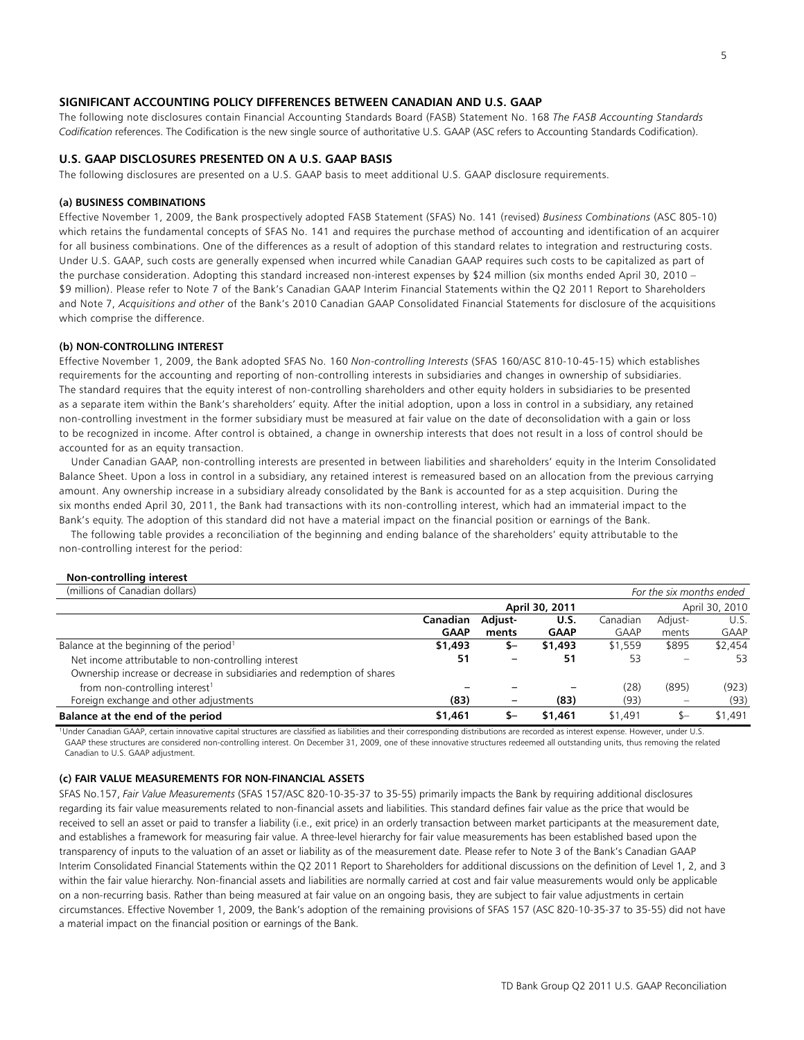## **SIGNIFICANT ACCOUNTING POLICY DIFFERENCES BETWEEN CANADIAN AND U.S. GAAP**

The following note disclosures contain Financial Accounting Standards Board (FASB) Statement No. 168 *The FASB Accounting Standards Codification* references. The Codification is the new single source of authoritative U.S. GAAP (ASC refers to Accounting Standards Codification).

## **U.S. GAAP DISCLOSURES PRESENTED ON A U.S. GAAP BASIS**

The following disclosures are presented on a U.S. GAAP basis to meet additional U.S. GAAP disclosure requirements.

#### **(a) BUSINESS COMBINATIONS**

Effective November 1, 2009, the Bank prospectively adopted FASB Statement (SFAS) No. 141 (revised) *Business Combinations* (ASC 805-10) which retains the fundamental concepts of SFAS No. 141 and requires the purchase method of accounting and identification of an acquirer for all business combinations. One of the differences as a result of adoption of this standard relates to integration and restructuring costs. Under U.S. GAAP, such costs are generally expensed when incurred while Canadian GAAP requires such costs to be capitalized as part of the purchase consideration. Adopting this standard increased non-interest expenses by \$24 million (six months ended April 30, 2010 – \$9 million). Please refer to Note 7 of the Bank's Canadian GAAP Interim Financial Statements within the Q2 2011 Report to Shareholders and Note 7, *Acquisitions and other* of the Bank's 2010 Canadian GAAP Consolidated Financial Statements for disclosure of the acquisitions which comprise the difference.

## **(b) NON-CONTROLLING INTEREST**

Effective November 1, 2009, the Bank adopted SFAS No. 160 *Non-controlling Interests* (SFAS 160/ASC 810-10-45-15) which establishes requirements for the accounting and reporting of non-controlling interests in subsidiaries and changes in ownership of subsidiaries. The standard requires that the equity interest of non-controlling shareholders and other equity holders in subsidiaries to be presented as a separate item within the Bank's shareholders' equity. After the initial adoption, upon a loss in control in a subsidiary, any retained non-controlling investment in the former subsidiary must be measured at fair value on the date of deconsolidation with a gain or loss to be recognized in income. After control is obtained, a change in ownership interests that does not result in a loss of control should be accounted for as an equity transaction.

 Under Canadian GAAP, non-controlling interests are presented in between liabilities and shareholders' equity in the Interim Consolidated Balance Sheet. Upon a loss in control in a subsidiary, any retained interest is remeasured based on an allocation from the previous carrying amount. Any ownership increase in a subsidiary already consolidated by the Bank is accounted for as a step acquisition. During the six months ended April 30, 2011, the Bank had transactions with its non-controlling interest, which had an immaterial impact to the Bank's equity. The adoption of this standard did not have a material impact on the financial position or earnings of the Bank.

 The following table provides a reconciliation of the beginning and ending balance of the shareholders' equity attributable to the non-controlling interest for the period:

## **Non-controlling interest**

| (millions of Canadian dollars)                                          |             |         |                |          | For the six months ended |                |
|-------------------------------------------------------------------------|-------------|---------|----------------|----------|--------------------------|----------------|
|                                                                         |             |         | April 30, 2011 |          |                          | April 30, 2010 |
|                                                                         | Canadian    | Adjust- | U.S.           | Canadian | Adjust-                  | U.S.           |
|                                                                         | <b>GAAP</b> | ments   | <b>GAAP</b>    | GAAP     | ments                    | <b>GAAP</b>    |
| Balance at the beginning of the period <sup>1</sup>                     | \$1,493     | S-      | \$1,493        | \$1,559  | \$895                    | \$2,454        |
| Net income attributable to non-controlling interest                     | 51          |         | 51             | 53       |                          | 53             |
| Ownership increase or decrease in subsidiaries and redemption of shares |             |         |                |          |                          |                |
| from non-controlling interest <sup>1</sup>                              |             |         |                | (28)     | (895)                    | (923)          |
| Foreign exchange and other adjustments                                  | (83)        |         | (83)           | (93)     |                          | (93)           |
| Balance at the end of the period                                        | \$1,461     |         | \$1,461        | \$1,491  | $S-$                     | \$1,491        |

<sup>1</sup>Under Canadian GAAP, certain innovative capital structures are classified as liabilities and their corresponding distributions are recorded as interest expense. However, under U.S. GAAP these structures are considered non-controlling interest. On December 31, 2009, one of these innovative structures redeemed all outstanding units, thus removing the related Canadian to U.S. GAAP adjustment.

#### **(c) FAIR VALUE MEASUREMENTS FOR NON-FINANCIAL ASSETS**

SFAS No.157, *Fair Value Measurements* (SFAS 157/ASC 820-10-35-37 to 35-55) primarily impacts the Bank by requiring additional disclosures regarding its fair value measurements related to non-financial assets and liabilities. This standard defines fair value as the price that would be received to sell an asset or paid to transfer a liability (i.e., exit price) in an orderly transaction between market participants at the measurement date, and establishes a framework for measuring fair value. A three-level hierarchy for fair value measurements has been established based upon the transparency of inputs to the valuation of an asset or liability as of the measurement date. Please refer to Note 3 of the Bank's Canadian GAAP Interim Consolidated Financial Statements within the Q2 2011 Report to Shareholders for additional discussions on the definition of Level 1, 2, and 3 within the fair value hierarchy. Non-financial assets and liabilities are normally carried at cost and fair value measurements would only be applicable on a non-recurring basis. Rather than being measured at fair value on an ongoing basis, they are subject to fair value adjustments in certain circumstances. Effective November 1, 2009, the Bank's adoption of the remaining provisions of SFAS 157 (ASC 820-10-35-37 to 35-55) did not have a material impact on the financial position or earnings of the Bank.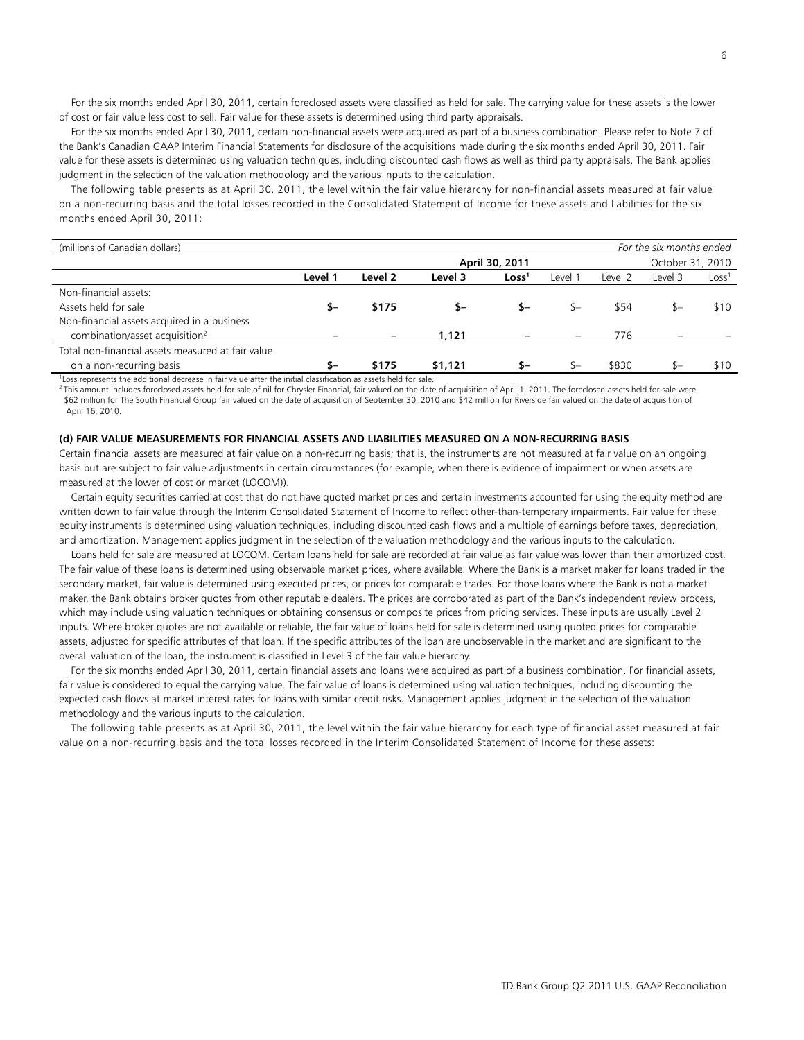For the six months ended April 30, 2011, certain foreclosed assets were classified as held for sale. The carrying value for these assets is the lower of cost or fair value less cost to sell. Fair value for these assets is determined using third party appraisals.

 For the six months ended April 30, 2011, certain non-financial assets were acquired as part of a business combination. Please refer to Note 7 of the Bank's Canadian GAAP Interim Financial Statements for disclosure of the acquisitions made during the six months ended April 30, 2011. Fair value for these assets is determined using valuation techniques, including discounted cash flows as well as third party appraisals. The Bank applies judgment in the selection of the valuation methodology and the various inputs to the calculation.

 The following table presents as at April 30, 2011, the level within the fair value hierarchy for non-financial assets measured at fair value on a non-recurring basis and the total losses recorded in the Consolidated Statement of Income for these assets and liabilities for the six months ended April 30, 2011:

| For the six months ended<br>(millions of Canadian dollars)                                                      |         |         |         |                   |         |         |                  |                   |
|-----------------------------------------------------------------------------------------------------------------|---------|---------|---------|-------------------|---------|---------|------------------|-------------------|
|                                                                                                                 |         |         |         | April 30, 2011    |         |         | October 31, 2010 |                   |
|                                                                                                                 | Level 1 | Level 2 | Level 3 | Loss <sup>1</sup> | Level 1 | Level 2 | Level 3          | Loss <sup>1</sup> |
| Non-financial assets:                                                                                           |         |         |         |                   |         |         |                  |                   |
| Assets held for sale                                                                                            | \$—     | \$175   | \$-     | \$–               |         | \$54    | \$—              | \$10              |
| Non-financial assets acquired in a business                                                                     |         |         |         |                   |         |         |                  |                   |
| combination/asset acquisition <sup>2</sup>                                                                      |         |         | 1.121   |                   |         | 776     |                  |                   |
| Total non-financial assets measured at fair value                                                               |         |         |         |                   |         |         |                  |                   |
| on a non-recurring basis                                                                                        | \$-     | \$175   | \$1.121 | \$–               | $S-$    | \$830   | $S-$             | \$10              |
| Loss represents the additional decrease in fair value after the initial classification as assets held for sale. |         |         |         |                   |         |         |                  |                   |

<sup>2</sup> This amount includes foreclosed assets held for sale of nil for Chrysler Financial, fair valued on the date of acquisition of April 1, 2011. The foreclosed assets held for sale were \$62 million for The South Financial Group fair valued on the date of acquisition of September 30, 2010 and \$42 million for Riverside fair valued on the date of acquisition of April 16, 2010.

### **(d) FAIR VALUE MEASUREMENTS FOR FINANCIAL ASSETS AND LIABILITIES MEASURED ON A NON-RECURRING BASIS**

Certain financial assets are measured at fair value on a non-recurring basis; that is, the instruments are not measured at fair value on an ongoing basis but are subject to fair value adjustments in certain circumstances (for example, when there is evidence of impairment or when assets are measured at the lower of cost or market (LOCOM)).

 Certain equity securities carried at cost that do not have quoted market prices and certain investments accounted for using the equity method are written down to fair value through the Interim Consolidated Statement of Income to reflect other-than-temporary impairments. Fair value for these equity instruments is determined using valuation techniques, including discounted cash flows and a multiple of earnings before taxes, depreciation, and amortization. Management applies judgment in the selection of the valuation methodology and the various inputs to the calculation.

 Loans held for sale are measured at LOCOM. Certain loans held for sale are recorded at fair value as fair value was lower than their amortized cost. The fair value of these loans is determined using observable market prices, where available. Where the Bank is a market maker for loans traded in the secondary market, fair value is determined using executed prices, or prices for comparable trades. For those loans where the Bank is not a market maker, the Bank obtains broker quotes from other reputable dealers. The prices are corroborated as part of the Bank's independent review process, which may include using valuation techniques or obtaining consensus or composite prices from pricing services. These inputs are usually Level 2 inputs. Where broker quotes are not available or reliable, the fair value of loans held for sale is determined using quoted prices for comparable assets, adjusted for specific attributes of that loan. If the specific attributes of the loan are unobservable in the market and are significant to the overall valuation of the loan, the instrument is classified in Level 3 of the fair value hierarchy.

 For the six months ended April 30, 2011, certain financial assets and loans were acquired as part of a business combination. For financial assets, fair value is considered to equal the carrying value. The fair value of loans is determined using valuation techniques, including discounting the expected cash flows at market interest rates for loans with similar credit risks. Management applies judgment in the selection of the valuation methodology and the various inputs to the calculation.

 The following table presents as at April 30, 2011, the level within the fair value hierarchy for each type of financial asset measured at fair value on a non-recurring basis and the total losses recorded in the Interim Consolidated Statement of Income for these assets: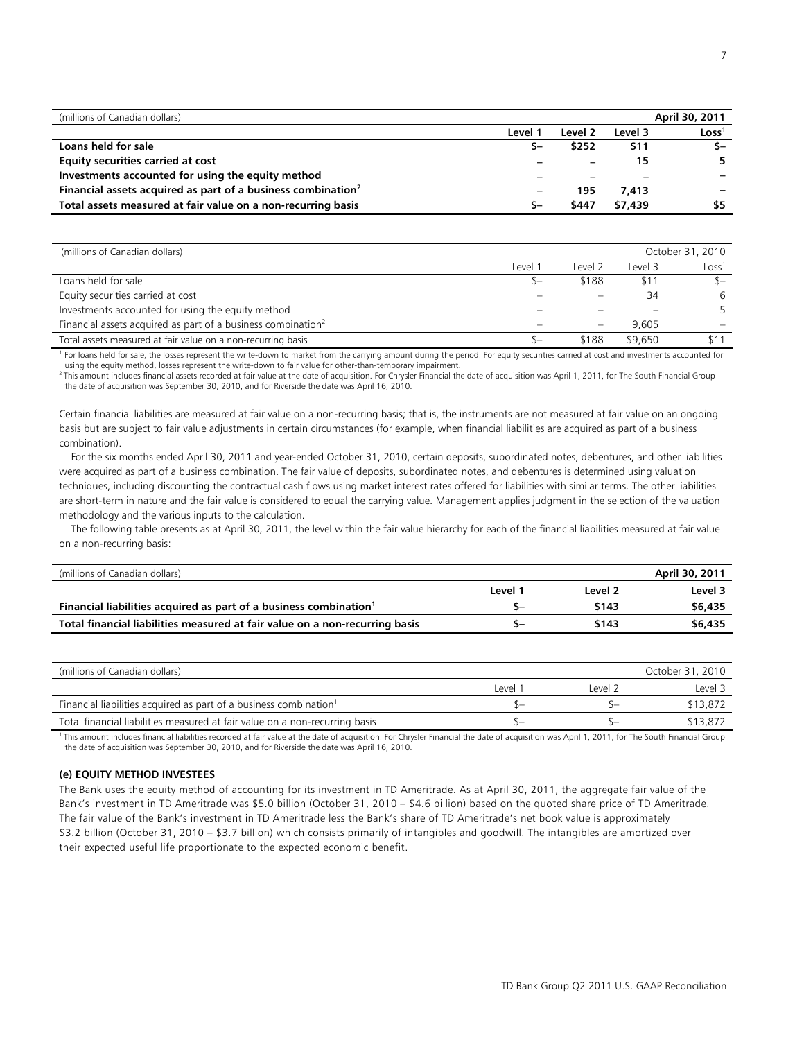| (millions of Canadian dollars)                                           |                          |                          |         | April 30, 2011    |
|--------------------------------------------------------------------------|--------------------------|--------------------------|---------|-------------------|
|                                                                          | Level 1                  | Level 2                  | Level 3 | Loss <sup>1</sup> |
| Loans held for sale                                                      |                          | \$252                    | \$11    | $S-$              |
| Equity securities carried at cost                                        |                          | $\overline{\phantom{0}}$ |         | 5.                |
| Investments accounted for using the equity method                        |                          |                          | -       |                   |
| Financial assets acquired as part of a business combination <sup>2</sup> | $\overline{\phantom{0}}$ | 195                      | 7.413   |                   |
| Total assets measured at fair value on a non-recurring basis             | ħ-                       | \$447                    | \$7.439 | \$5               |

| (millions of Canadian dollars)                                           |         |         |         | October 31, 2010  |
|--------------------------------------------------------------------------|---------|---------|---------|-------------------|
|                                                                          |         |         |         |                   |
|                                                                          | Level : | Level 2 | Level 3 | Loss <sup>1</sup> |
| Loans held for sale                                                      |         | \$188   | \$11    |                   |
| Equity securities carried at cost                                        |         |         | 34      | 6                 |
| Investments accounted for using the equity method                        |         |         |         |                   |
| Financial assets acquired as part of a business combination <sup>2</sup> |         |         | 9.605   |                   |
| Total assets measured at fair value on a non-recurring basis             |         | \$188   | \$9,650 |                   |

For loans held for sale, the losses represent the write-down to market from the carrying amount during the period. For equity securities carried at cost and investments accounted for using the equity method, losses represent the write-down to fair value for other-than-temporary impairment.

2 This amount includes financial assets recorded at fair value at the date of acquisition. For Chrysler Financial the date of acquisition was April 1, 2011, for The South Financial Group the date of acquisition was September 30, 2010, and for Riverside the date was April 16, 2010.

Certain financial liabilities are measured at fair value on a non-recurring basis; that is, the instruments are not measured at fair value on an ongoing basis but are subject to fair value adjustments in certain circumstances (for example, when financial liabilities are acquired as part of a business combination).

 For the six months ended April 30, 2011 and year-ended October 31, 2010, certain deposits, subordinated notes, debentures, and other liabilities were acquired as part of a business combination. The fair value of deposits, subordinated notes, and debentures is determined using valuation techniques, including discounting the contractual cash flows using market interest rates offered for liabilities with similar terms. The other liabilities are short-term in nature and the fair value is considered to equal the carrying value. Management applies judgment in the selection of the valuation methodology and the various inputs to the calculation.

 The following table presents as at April 30, 2011, the level within the fair value hierarchy for each of the financial liabilities measured at fair value on a non-recurring basis:

| (millions of Canadian dollars)                                                |         |         | April 30, 2011 |
|-------------------------------------------------------------------------------|---------|---------|----------------|
|                                                                               | Level 1 | Level 2 | Level 3        |
| Financial liabilities acquired as part of a business combination <sup>1</sup> |         | \$143   | \$6,435        |
| Total financial liabilities measured at fair value on a non-recurring basis   |         | \$143   | \$6,435        |

| (millions of Canadian dollars)                                                |      |          | October 31, 2010 |
|-------------------------------------------------------------------------------|------|----------|------------------|
|                                                                               | evel | l evel 2 | Level 3          |
| Financial liabilities acquired as part of a business combination <sup>1</sup> |      |          | \$13,872         |
| Total financial liabilities measured at fair value on a non-recurring basis   |      |          | \$13,872         |

This amount includes financial liabilities recorded at fair value at the date of acquisition. For Chrysler Financial the date of acquisition was April 1, 2011, for The South Financial Group the date of acquisition was September 30, 2010, and for Riverside the date was April 16, 2010.

## **(e) EQUITY METHOD INVESTEES**

The Bank uses the equity method of accounting for its investment in TD Ameritrade. As at April 30, 2011, the aggregate fair value of the Bank's investment in TD Ameritrade was \$5.0 billion (October 31, 2010 – \$4.6 billion) based on the quoted share price of TD Ameritrade. The fair value of the Bank's investment in TD Ameritrade less the Bank's share of TD Ameritrade's net book value is approximately \$3.2 billion (October 31, 2010 – \$3.7 billion) which consists primarily of intangibles and goodwill. The intangibles are amortized over their expected useful life proportionate to the expected economic benefit.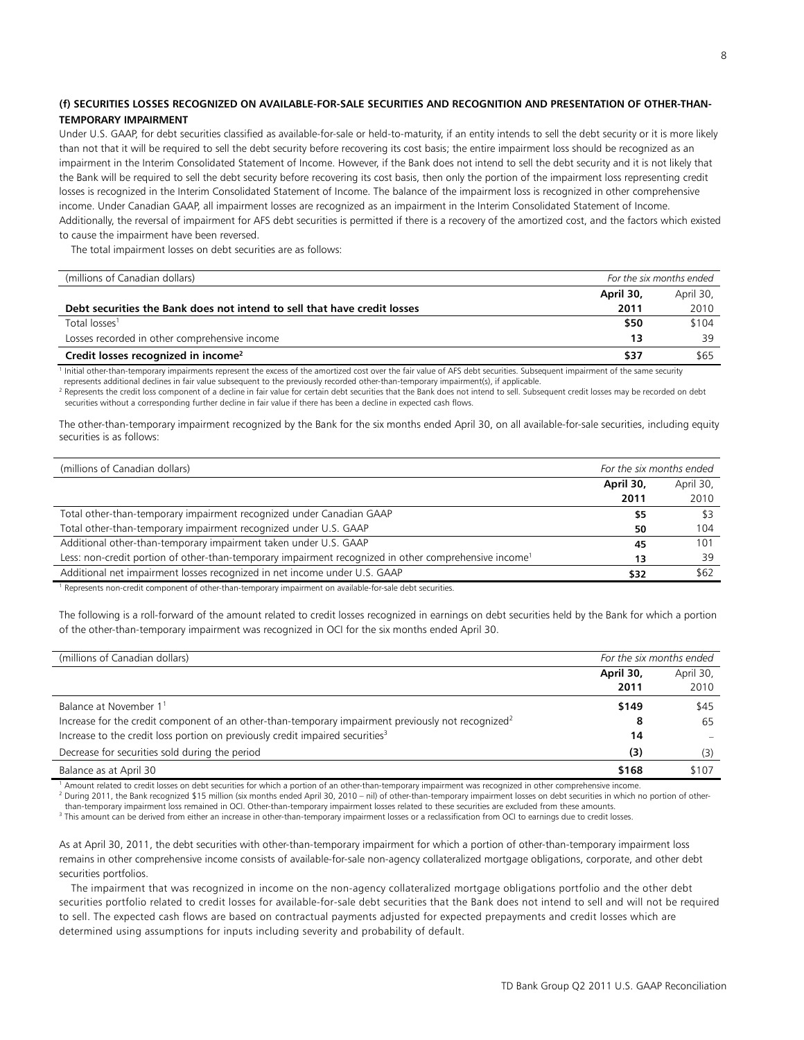## **(f) SECURITIES LOSSES RECOGNIZED ON AVAILABLE-FOR-SALE SECURITIES AND RECOGNITION AND PRESENTATION OF OTHER-THAN-TEMPORARY IMPAIRMENT**

Under U.S. GAAP, for debt securities classified as available-for-sale or held-to-maturity, if an entity intends to sell the debt security or it is more likely than not that it will be required to sell the debt security before recovering its cost basis; the entire impairment loss should be recognized as an impairment in the Interim Consolidated Statement of Income. However, if the Bank does not intend to sell the debt security and it is not likely that the Bank will be required to sell the debt security before recovering its cost basis, then only the portion of the impairment loss representing credit losses is recognized in the Interim Consolidated Statement of Income. The balance of the impairment loss is recognized in other comprehensive income. Under Canadian GAAP, all impairment losses are recognized as an impairment in the Interim Consolidated Statement of Income. Additionally, the reversal of impairment for AFS debt securities is permitted if there is a recovery of the amortized cost, and the factors which existed to cause the impairment have been reversed.

The total impairment losses on debt securities are as follows:

| (millions of Canadian dollars)                                           |           | For the six months ended |
|--------------------------------------------------------------------------|-----------|--------------------------|
|                                                                          | April 30, | April 30,                |
| Debt securities the Bank does not intend to sell that have credit losses | 2011      | 2010                     |
| Total losses <sup>1</sup>                                                | \$50      | \$104                    |
| Losses recorded in other comprehensive income                            | 13        | 39                       |
| Credit losses recognized in income <sup>2</sup>                          | \$37      | \$65                     |

<sup>1</sup> Initial other-than-temporary impairments represent the excess of the amortized cost over the fair value of AFS debt securities. Subsequent impairment of the same security represents additional declines in fair value subsequent to the previously recorded other-than-temporary impairment(s), if applicable. 2

<sup>2</sup> Represents the credit loss component of a decline in fair value for certain debt securities that the Bank does not intend to sell. Subsequent credit losses may be recorded on debt securities without a corresponding further decline in fair value if there has been a decline in expected cash flows.

The other-than-temporary impairment recognized by the Bank for the six months ended April 30, on all available-for-sale securities, including equity securities is as follows:

| (millions of Canadian dollars)                                                                                    |           | For the six months ended |
|-------------------------------------------------------------------------------------------------------------------|-----------|--------------------------|
|                                                                                                                   | April 30, | April 30,                |
|                                                                                                                   | 2011      | 2010                     |
| Total other-than-temporary impairment recognized under Canadian GAAP                                              | \$5       |                          |
| Total other-than-temporary impairment recognized under U.S. GAAP                                                  | 50        | 104                      |
| Additional other-than-temporary impairment taken under U.S. GAAP                                                  | 45        | 101                      |
| Less: non-credit portion of other-than-temporary impairment recognized in other comprehensive income <sup>1</sup> | 13        | 39                       |
| Additional net impairment losses recognized in net income under U.S. GAAP                                         | \$32      | \$62                     |

<sup>1</sup> Represents non-credit component of other-than-temporary impairment on available-for-sale debt securities.

The following is a roll-forward of the amount related to credit losses recognized in earnings on debt securities held by the Bank for which a portion of the other-than-temporary impairment was recognized in OCI for the six months ended April 30.

| (millions of Canadian dollars)                                                                                 |           | For the six months ended |
|----------------------------------------------------------------------------------------------------------------|-----------|--------------------------|
|                                                                                                                | April 30, | April 30,                |
|                                                                                                                | 2011      | 2010                     |
| Balance at November 1 <sup>1</sup>                                                                             | \$149     | \$45                     |
| Increase for the credit component of an other-than-temporary impairment previously not recognized <sup>2</sup> | 8         | 65                       |
| Increase to the credit loss portion on previously credit impaired securities <sup>3</sup>                      | 14        |                          |
| Decrease for securities sold during the period                                                                 | (3)       | (3)                      |
| Balance as at April 30                                                                                         | \$168     | \$107                    |

Amount related to credit losses on debt securities for which a portion of an other-than-temporary impairment was recognized in other comprehensive income. 2

<sup>2</sup> During 2011, the Bank recognized \$15 million (six months ended April 30, 2010 – nil) of other-than-temporary impairment losses on debt securities in which no portion of otherthan-temporary impairment loss remained in OCI. Other-than-temporary impairment losses related to these securities are excluded from these amounts.

<sup>3</sup> This amount can be derived from either an increase in other-than-temporary impairment losses or a reclassification from OCI to earnings due to credit losses.

As at April 30, 2011, the debt securities with other-than-temporary impairment for which a portion of other-than-temporary impairment loss remains in other comprehensive income consists of available-for-sale non-agency collateralized mortgage obligations, corporate, and other debt securities portfolios.

 The impairment that was recognized in income on the non-agency collateralized mortgage obligations portfolio and the other debt securities portfolio related to credit losses for available-for-sale debt securities that the Bank does not intend to sell and will not be required to sell. The expected cash flows are based on contractual payments adjusted for expected prepayments and credit losses which are determined using assumptions for inputs including severity and probability of default.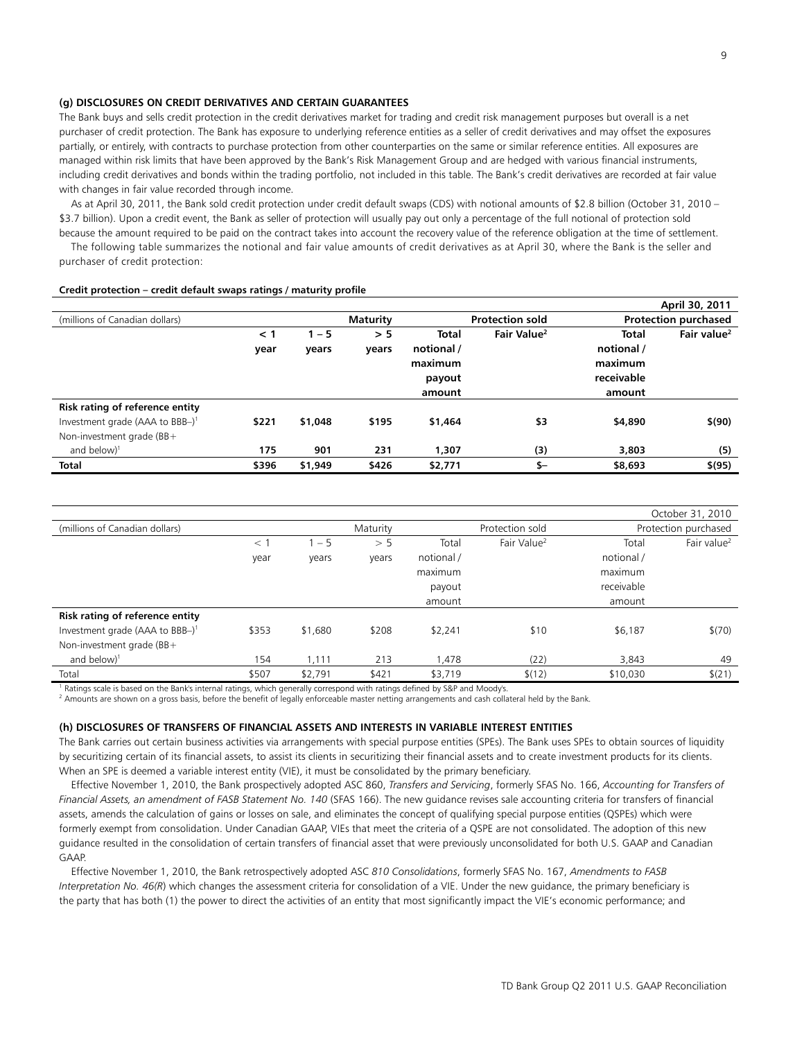### **(g) DISCLOSURES ON CREDIT DERIVATIVES AND CERTAIN GUARANTEES**

The Bank buys and sells credit protection in the credit derivatives market for trading and credit risk management purposes but overall is a net purchaser of credit protection. The Bank has exposure to underlying reference entities as a seller of credit derivatives and may offset the exposures partially, or entirely, with contracts to purchase protection from other counterparties on the same or similar reference entities. All exposures are managed within risk limits that have been approved by the Bank's Risk Management Group and are hedged with various financial instruments, including credit derivatives and bonds within the trading portfolio, not included in this table. The Bank's credit derivatives are recorded at fair value with changes in fair value recorded through income.

 As at April 30, 2011, the Bank sold credit protection under credit default swaps (CDS) with notional amounts of \$2.8 billion (October 31, 2010 – \$3.7 billion). Upon a credit event, the Bank as seller of protection will usually pay out only a percentage of the full notional of protection sold because the amount required to be paid on the contract takes into account the recovery value of the reference obligation at the time of settlement.

 The following table summarizes the notional and fair value amounts of credit derivatives as at April 30, where the Bank is the seller and purchaser of credit protection:

#### **Credit protection – credit default swaps ratings / maturity profile**

|                                             |          |         |                 |              |                         |            | April 30, 2011              |
|---------------------------------------------|----------|---------|-----------------|--------------|-------------------------|------------|-----------------------------|
| (millions of Canadian dollars)              |          |         | <b>Maturity</b> |              | <b>Protection sold</b>  |            | <b>Protection purchased</b> |
|                                             | $\leq 1$ | $1 - 5$ | > 5             | <b>Total</b> | Fair Value <sup>2</sup> | Total      | Fair value <sup>2</sup>     |
|                                             | year     | years   | years           | notional /   |                         | notional / |                             |
|                                             |          |         |                 | maximum      |                         | maximum    |                             |
|                                             |          |         |                 | payout       |                         | receivable |                             |
|                                             |          |         |                 | amount       |                         | amount     |                             |
| Risk rating of reference entity             |          |         |                 |              |                         |            |                             |
| Investment grade (AAA to BBB-) <sup>1</sup> | \$221    | \$1,048 | \$195           | \$1,464      | \$3                     | \$4,890    | \$(90)                      |
| Non-investment grade (BB+                   |          |         |                 |              |                         |            |                             |
| and below) $1$                              | 175      | 901     | 231             | 1,307        | (3)                     | 3,803      | (5)                         |
| <b>Total</b>                                | \$396    | \$1,949 | \$426           | \$2,771      | $S-$                    | \$8,693    | \$(95)                      |

|                                             |        |         |          |            |                         |            | October 31, 2010        |
|---------------------------------------------|--------|---------|----------|------------|-------------------------|------------|-------------------------|
| (millions of Canadian dollars)              |        |         | Maturity |            | Protection sold         |            | Protection purchased    |
|                                             | $\lt'$ | $1 - 5$ | > 5      | Total      | Fair Value <sup>2</sup> | Total      | Fair value <sup>2</sup> |
|                                             | year   | years   | vears    | notional / |                         | notional / |                         |
|                                             |        |         |          | maximum    |                         | maximum    |                         |
|                                             |        |         |          | payout     |                         | receivable |                         |
|                                             |        |         |          | amount     |                         | amount     |                         |
| Risk rating of reference entity             |        |         |          |            |                         |            |                         |
| Investment grade (AAA to BBB-) <sup>1</sup> | \$353  | \$1,680 | \$208    | \$2,241    | \$10                    | \$6,187    | \$(70)                  |
| Non-investment grade (BB+                   |        |         |          |            |                         |            |                         |
| and below) $1$                              | 154    | 1,111   | 213      | 1,478      | (22)                    | 3,843      | 49                      |
| Total                                       | \$507  | \$2,791 | \$421    | \$3,719    | \$(12)                  | \$10,030   | \$(21)                  |

<sup>1</sup> Ratings scale is based on the Bank's internal ratings, which generally correspond with ratings defined by S&P and Moody's.

<sup>2</sup> Amounts are shown on a gross basis, before the benefit of legally enforceable master netting arrangements and cash collateral held by the Bank.

#### **(h) DISCLOSURES OF TRANSFERS OF FINANCIAL ASSETS AND INTERESTS IN VARIABLE INTEREST ENTITIES**

The Bank carries out certain business activities via arrangements with special purpose entities (SPEs). The Bank uses SPEs to obtain sources of liquidity by securitizing certain of its financial assets, to assist its clients in securitizing their financial assets and to create investment products for its clients. When an SPE is deemed a variable interest entity (VIE), it must be consolidated by the primary beneficiary.

 Effective November 1, 2010, the Bank prospectively adopted ASC 860, *Transfers and Servicing*, formerly SFAS No. 166, *Accounting for Transfers of Financial Assets, an amendment of FASB Statement No. 140* (SFAS 166). The new guidance revises sale accounting criteria for transfers of financial assets, amends the calculation of gains or losses on sale, and eliminates the concept of qualifying special purpose entities (QSPEs) which were formerly exempt from consolidation. Under Canadian GAAP, VIEs that meet the criteria of a QSPE are not consolidated. The adoption of this new guidance resulted in the consolidation of certain transfers of financial asset that were previously unconsolidated for both U.S. GAAP and Canadian GAAP.

 Effective November 1, 2010, the Bank retrospectively adopted ASC *810 Consolidations*, formerly SFAS No. 167, *Amendments to FASB Interpretation No. 46(R*) which changes the assessment criteria for consolidation of a VIE. Under the new guidance, the primary beneficiary is the party that has both (1) the power to direct the activities of an entity that most significantly impact the VIE's economic performance; and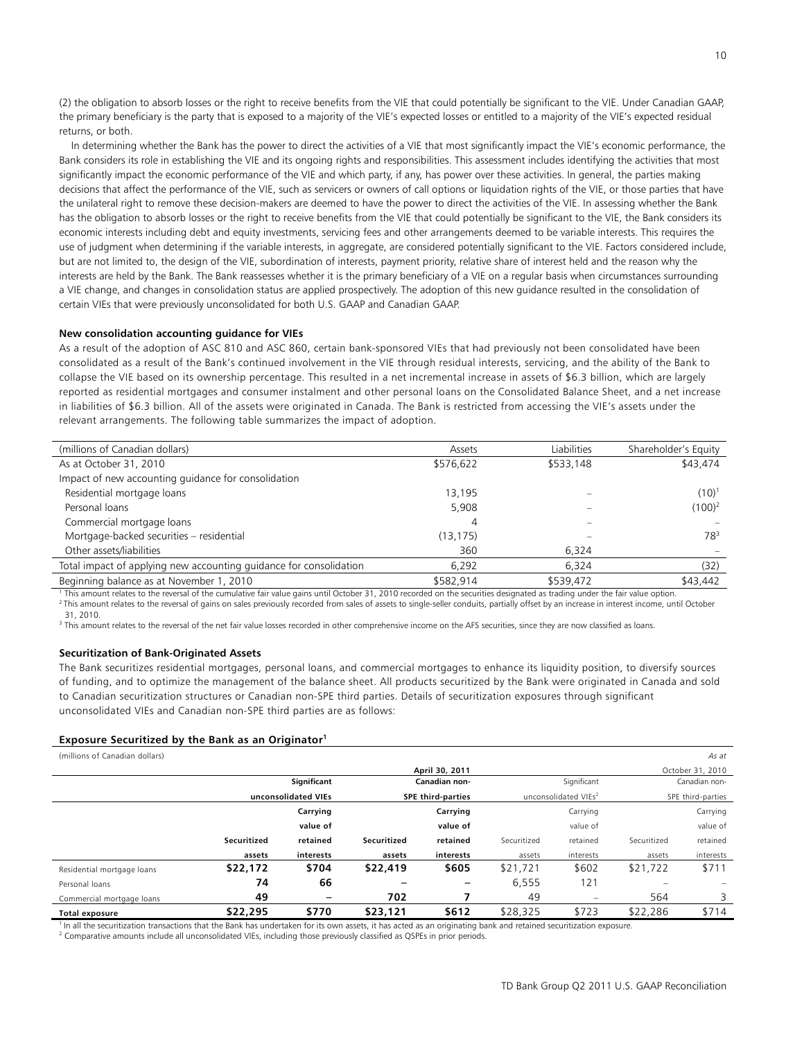(2) the obligation to absorb losses or the right to receive benefits from the VIE that could potentially be significant to the VIE. Under Canadian GAAP, the primary beneficiary is the party that is exposed to a majority of the VIE's expected losses or entitled to a majority of the VIE's expected residual returns, or both.

 In determining whether the Bank has the power to direct the activities of a VIE that most significantly impact the VIE's economic performance, the Bank considers its role in establishing the VIE and its ongoing rights and responsibilities. This assessment includes identifying the activities that most significantly impact the economic performance of the VIE and which party, if any, has power over these activities. In general, the parties making decisions that affect the performance of the VIE, such as servicers or owners of call options or liquidation rights of the VIE, or those parties that have the unilateral right to remove these decision-makers are deemed to have the power to direct the activities of the VIE. In assessing whether the Bank has the obligation to absorb losses or the right to receive benefits from the VIE that could potentially be significant to the VIE, the Bank considers its economic interests including debt and equity investments, servicing fees and other arrangements deemed to be variable interests. This requires the use of judgment when determining if the variable interests, in aggregate, are considered potentially significant to the VIE. Factors considered include, but are not limited to, the design of the VIE, subordination of interests, payment priority, relative share of interest held and the reason why the interests are held by the Bank. The Bank reassesses whether it is the primary beneficiary of a VIE on a regular basis when circumstances surrounding a VIE change, and changes in consolidation status are applied prospectively. The adoption of this new guidance resulted in the consolidation of certain VIEs that were previously unconsolidated for both U.S. GAAP and Canadian GAAP.

### **New consolidation accounting guidance for VIEs**

As a result of the adoption of ASC 810 and ASC 860, certain bank-sponsored VIEs that had previously not been consolidated have been consolidated as a result of the Bank's continued involvement in the VIE through residual interests, servicing, and the ability of the Bank to collapse the VIE based on its ownership percentage. This resulted in a net incremental increase in assets of \$6.3 billion, which are largely reported as residential mortgages and consumer instalment and other personal loans on the Consolidated Balance Sheet, and a net increase in liabilities of \$6.3 billion. All of the assets were originated in Canada. The Bank is restricted from accessing the VIE's assets under the relevant arrangements. The following table summarizes the impact of adoption.

| (millions of Canadian dollars)                                     | Assets    | Liabilities | Shareholder's Equity |
|--------------------------------------------------------------------|-----------|-------------|----------------------|
| As at October 31, 2010                                             | \$576,622 | \$533,148   | \$43,474             |
| Impact of new accounting guidance for consolidation                |           |             |                      |
| Residential mortgage loans                                         | 13,195    |             | $(10)^1$             |
| Personal loans                                                     | 5.908     |             | $(100)^2$            |
| Commercial mortgage loans                                          | 4         |             |                      |
| Mortgage-backed securities - residential                           | (13, 175) |             | 78 <sup>3</sup>      |
| Other assets/liabilities                                           | 360       | 6.324       |                      |
| Total impact of applying new accounting guidance for consolidation | 6,292     | 6.324       | (32)                 |
| Beginning balance as at November 1, 2010                           | \$582,914 | \$539,472   | \$43,442             |

<sup>1</sup> This amount relates to the reversal of the cumulative fair value gains until October 31, 2010 recorded on the securities designated as trading under the fair value option. This amount relates to the reversal of gains on sales previously recorded from sales of assets to single-seller conduits, partially offset by an increase in interest income, until October 31, 2010.

 $^3$  This amount relates to the reversal of the net fair value losses recorded in other comprehensive income on the AFS securities, since they are now classified as loans.

#### **Securitization of Bank-Originated Assets**

The Bank securitizes residential mortgages, personal loans, and commercial mortgages to enhance its liquidity position, to diversify sources of funding, and to optimize the management of the balance sheet. All products securitized by the Bank were originated in Canada and sold to Canadian securitization structures or Canadian non-SPE third parties. Details of securitization exposures through significant unconsolidated VIEs and Canadian non-SPE third parties are as follows:

#### **Exposure Securitized by the Bank as an Originator1**

(millions of Canadian dollars) *As at*

|                            |             |                     |             | April 30, 2011           |             |                                  |                          | October 31, 2010 |
|----------------------------|-------------|---------------------|-------------|--------------------------|-------------|----------------------------------|--------------------------|------------------|
|                            |             | Significant         |             | Canadian non-            |             | Significant                      |                          | Canadian non-    |
|                            |             | unconsolidated VIEs |             | <b>SPE third-parties</b> |             | unconsolidated VIEs <sup>2</sup> | SPE third-parties        |                  |
|                            |             | Carrying            |             | Carrying                 |             | Carrying                         |                          | Carrying         |
|                            |             | value of            |             | value of                 |             | value of                         |                          | value of         |
|                            | Securitized | retained            | Securitized | retained                 | Securitized | retained                         | Securitized              | retained         |
|                            | assets      | interests           | assets      | interests                | assets      | interests                        | assets                   | interests        |
| Residential mortgage loans | \$22,172    | \$704               | \$22,419    | \$605                    | \$21,721    | \$602                            | \$21,722                 | \$711            |
| Personal loans             | 74          | 66                  |             |                          | 6,555       | 121                              | $\overline{\phantom{0}}$ |                  |
| Commercial mortgage loans  | 49          | $\qquad \qquad -$   | 702         |                          | 49          | $\qquad \qquad \qquad$           | 564                      | 3                |
| Total exposure             | \$22,295    | \$770               | \$23,121    | \$612                    | \$28,325    | \$723                            | \$22,286                 | \$714            |

In all the securitization transactions that the Bank has undertaken for its own assets, it has acted as an originating bank and retained securitization exposure.

<sup>2</sup> Comparative amounts include all unconsolidated VIEs, including those previously classified as QSPEs in prior periods.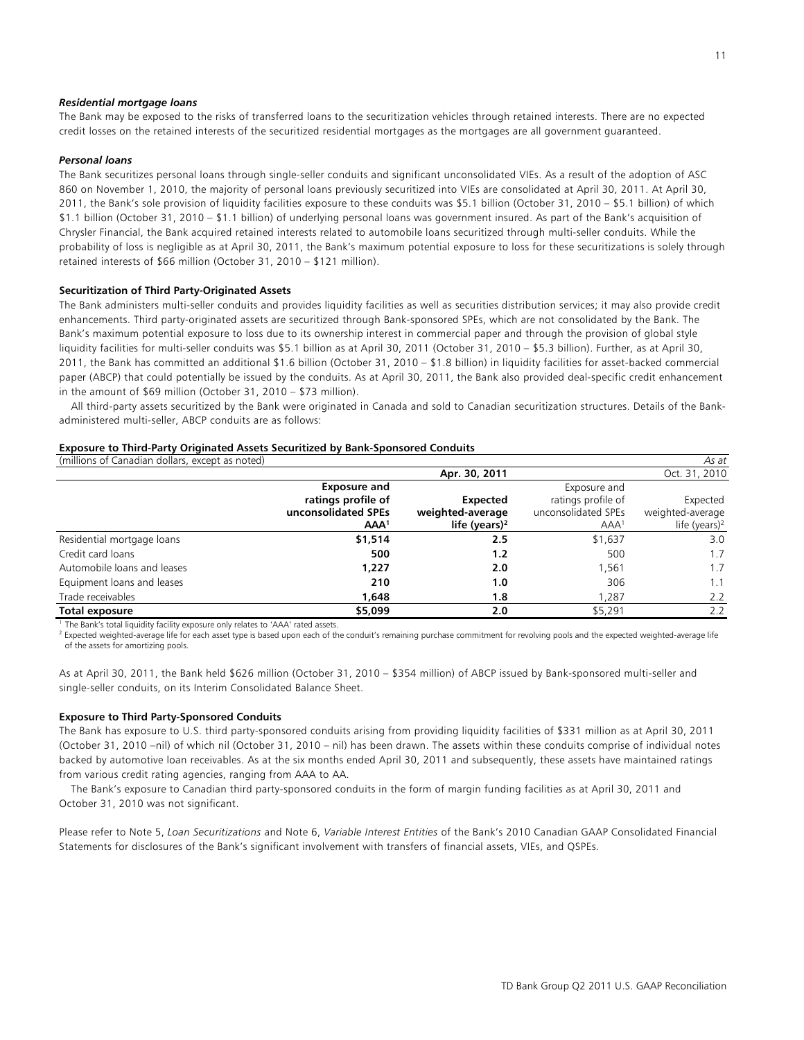#### *Residential mortgage loans*

The Bank may be exposed to the risks of transferred loans to the securitization vehicles through retained interests. There are no expected credit losses on the retained interests of the securitized residential mortgages as the mortgages are all government guaranteed.

#### *Personal loans*

The Bank securitizes personal loans through single-seller conduits and significant unconsolidated VIEs. As a result of the adoption of ASC 860 on November 1, 2010, the majority of personal loans previously securitized into VIEs are consolidated at April 30, 2011. At April 30, 2011, the Bank's sole provision of liquidity facilities exposure to these conduits was \$5.1 billion (October 31, 2010 – \$5.1 billion) of which \$1.1 billion (October 31, 2010 – \$1.1 billion) of underlying personal loans was government insured. As part of the Bank's acquisition of Chrysler Financial, the Bank acquired retained interests related to automobile loans securitized through multi-seller conduits. While the probability of loss is negligible as at April 30, 2011, the Bank's maximum potential exposure to loss for these securitizations is solely through retained interests of \$66 million (October 31, 2010 – \$121 million).

### **Securitization of Third Party-Originated Assets**

The Bank administers multi-seller conduits and provides liquidity facilities as well as securities distribution services; it may also provide credit enhancements. Third party-originated assets are securitized through Bank-sponsored SPEs, which are not consolidated by the Bank. The Bank's maximum potential exposure to loss due to its ownership interest in commercial paper and through the provision of global style liquidity facilities for multi-seller conduits was \$5.1 billion as at April 30, 2011 (October 31, 2010 – \$5.3 billion). Further, as at April 30, 2011, the Bank has committed an additional \$1.6 billion (October 31, 2010 – \$1.8 billion) in liquidity facilities for asset-backed commercial paper (ABCP) that could potentially be issued by the conduits. As at April 30, 2011, the Bank also provided deal-specific credit enhancement in the amount of \$69 million (October 31, 2010 – \$73 million).

 All third-party assets securitized by the Bank were originated in Canada and sold to Canadian securitization structures. Details of the Bankadministered multi-seller, ABCP conduits are as follows:

#### **Exposure to Third-Party Originated Assets Securitized by Bank-Sponsored Conduits**

| (millions of Canadian dollars, except as noted) |                     |                           |                     | As at                     |
|-------------------------------------------------|---------------------|---------------------------|---------------------|---------------------------|
|                                                 |                     | Apr. 30, 2011             |                     | Oct. 31, 2010             |
|                                                 | <b>Exposure and</b> |                           | Exposure and        |                           |
|                                                 | ratings profile of  | <b>Expected</b>           | ratings profile of  | Expected                  |
|                                                 | unconsolidated SPEs | weighted-average          | unconsolidated SPEs | weighted-average          |
|                                                 | AAA <sup>1</sup>    | life (years) <sup>2</sup> | AAA <sup>1</sup>    | life (years) <sup>2</sup> |
| Residential mortgage loans                      | \$1,514             | 2.5                       | \$1,637             | 3.0                       |
| Credit card loans                               | 500                 | 1.2                       | 500                 | 1.7                       |
| Automobile loans and leases                     | 1,227               | 2.0                       | 1,561               | 1.7                       |
| Equipment loans and leases                      | 210                 | 1.0                       | 306                 | 1.1                       |
| Trade receivables                               | 1,648               | 1.8                       | 1.287               | 2.2                       |
| Total exposure                                  | \$5,099             | 2.0                       | \$5,291             | 2.2                       |

The Bank's total liquidity facility exposure only relates to 'AAA' rated assets.

<sup>2</sup> Expected weighted-average life for each asset type is based upon each of the conduit's remaining purchase commitment for revolving pools and the expected weighted-average life of the assets for amortizing pools.

As at April 30, 2011, the Bank held \$626 million (October 31, 2010 – \$354 million) of ABCP issued by Bank-sponsored multi-seller and single-seller conduits, on its Interim Consolidated Balance Sheet.

#### **Exposure to Third Party-Sponsored Conduits**

The Bank has exposure to U.S. third party-sponsored conduits arising from providing liquidity facilities of \$331 million as at April 30, 2011 (October 31, 2010 –nil) of which nil (October 31, 2010 – nil) has been drawn. The assets within these conduits comprise of individual notes backed by automotive loan receivables. As at the six months ended April 30, 2011 and subsequently, these assets have maintained ratings from various credit rating agencies, ranging from AAA to AA.

 The Bank's exposure to Canadian third party-sponsored conduits in the form of margin funding facilities as at April 30, 2011 and October 31, 2010 was not significant.

Please refer to Note 5, *Loan Securitizations* and Note 6, *Variable Interest Entities* of the Bank's 2010 Canadian GAAP Consolidated Financial Statements for disclosures of the Bank's significant involvement with transfers of financial assets, VIEs, and QSPEs.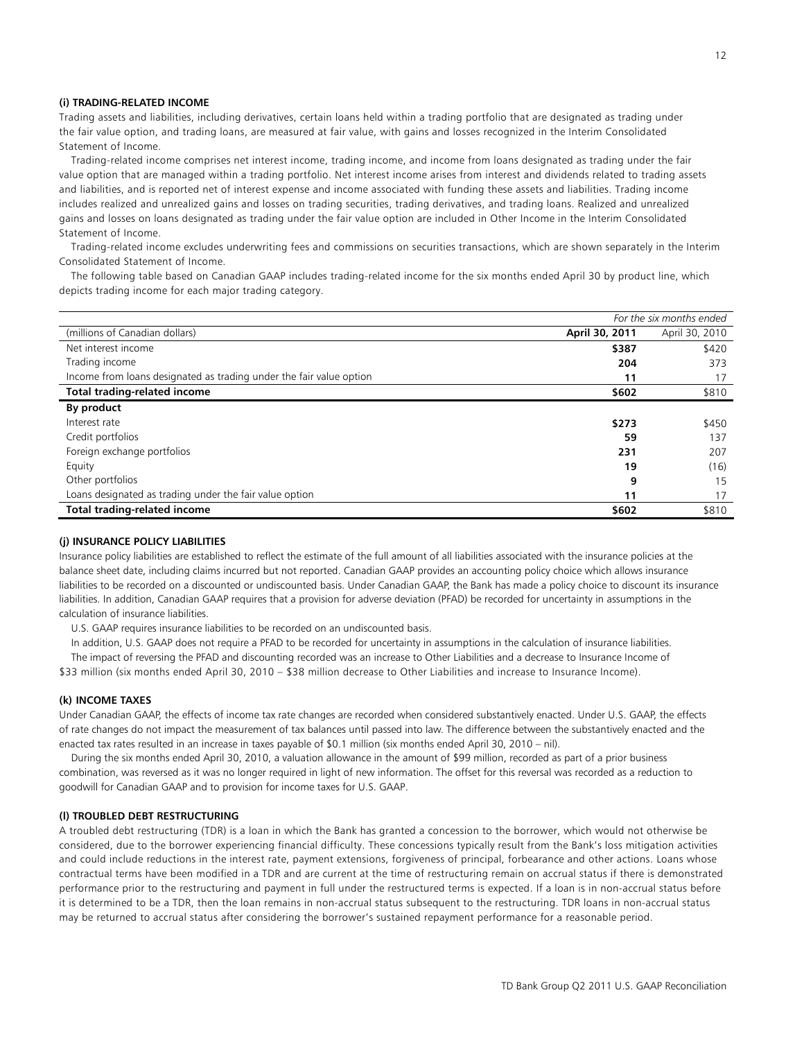### **(i) TRADING-RELATED INCOME**

Trading assets and liabilities, including derivatives, certain loans held within a trading portfolio that are designated as trading under the fair value option, and trading loans, are measured at fair value, with gains and losses recognized in the Interim Consolidated Statement of Income.

 Trading-related income comprises net interest income, trading income, and income from loans designated as trading under the fair value option that are managed within a trading portfolio. Net interest income arises from interest and dividends related to trading assets and liabilities, and is reported net of interest expense and income associated with funding these assets and liabilities. Trading income includes realized and unrealized gains and losses on trading securities, trading derivatives, and trading loans. Realized and unrealized gains and losses on loans designated as trading under the fair value option are included in Other Income in the Interim Consolidated Statement of Income.

 Trading-related income excludes underwriting fees and commissions on securities transactions, which are shown separately in the Interim Consolidated Statement of Income.

 The following table based on Canadian GAAP includes trading-related income for the six months ended April 30 by product line, which depicts trading income for each major trading category.

|                                                                     |                | For the six months ended |
|---------------------------------------------------------------------|----------------|--------------------------|
| (millions of Canadian dollars)                                      | April 30, 2011 | April 30, 2010           |
| Net interest income                                                 | \$387          | \$420                    |
| Trading income                                                      | 204            | 373                      |
| Income from loans designated as trading under the fair value option | 11             | 17                       |
| <b>Total trading-related income</b>                                 | \$602          | \$810                    |
| By product                                                          |                |                          |
| Interest rate                                                       | \$273          | \$450                    |
| Credit portfolios                                                   | 59             | 137                      |
| Foreign exchange portfolios                                         | 231            | 207                      |
| Equity                                                              | 19             | (16)                     |
| Other portfolios                                                    | 9              | 15                       |
| Loans designated as trading under the fair value option             | 11             | 17                       |
| <b>Total trading-related income</b>                                 | \$602          | \$810                    |

## **(j) INSURANCE POLICY LIABILITIES**

Insurance policy liabilities are established to reflect the estimate of the full amount of all liabilities associated with the insurance policies at the balance sheet date, including claims incurred but not reported. Canadian GAAP provides an accounting policy choice which allows insurance liabilities to be recorded on a discounted or undiscounted basis. Under Canadian GAAP, the Bank has made a policy choice to discount its insurance liabilities. In addition, Canadian GAAP requires that a provision for adverse deviation (PFAD) be recorded for uncertainty in assumptions in the calculation of insurance liabilities.

U.S. GAAP requires insurance liabilities to be recorded on an undiscounted basis.

In addition, U.S. GAAP does not require a PFAD to be recorded for uncertainty in assumptions in the calculation of insurance liabilities.

 The impact of reversing the PFAD and discounting recorded was an increase to Other Liabilities and a decrease to Insurance Income of \$33 million (six months ended April 30, 2010 – \$38 million decrease to Other Liabilities and increase to Insurance Income).

## **(k) INCOME TAXES**

Under Canadian GAAP, the effects of income tax rate changes are recorded when considered substantively enacted. Under U.S. GAAP, the effects of rate changes do not impact the measurement of tax balances until passed into law. The difference between the substantively enacted and the enacted tax rates resulted in an increase in taxes payable of \$0.1 million (six months ended April 30, 2010 – nil).

 During the six months ended April 30, 2010, a valuation allowance in the amount of \$99 million, recorded as part of a prior business combination, was reversed as it was no longer required in light of new information. The offset for this reversal was recorded as a reduction to goodwill for Canadian GAAP and to provision for income taxes for U.S. GAAP.

### **(l) TROUBLED DEBT RESTRUCTURING**

A troubled debt restructuring (TDR) is a loan in which the Bank has granted a concession to the borrower, which would not otherwise be considered, due to the borrower experiencing financial difficulty. These concessions typically result from the Bank's loss mitigation activities and could include reductions in the interest rate, payment extensions, forgiveness of principal, forbearance and other actions. Loans whose contractual terms have been modified in a TDR and are current at the time of restructuring remain on accrual status if there is demonstrated performance prior to the restructuring and payment in full under the restructured terms is expected. If a loan is in non-accrual status before it is determined to be a TDR, then the loan remains in non-accrual status subsequent to the restructuring. TDR loans in non-accrual status may be returned to accrual status after considering the borrower's sustained repayment performance for a reasonable period.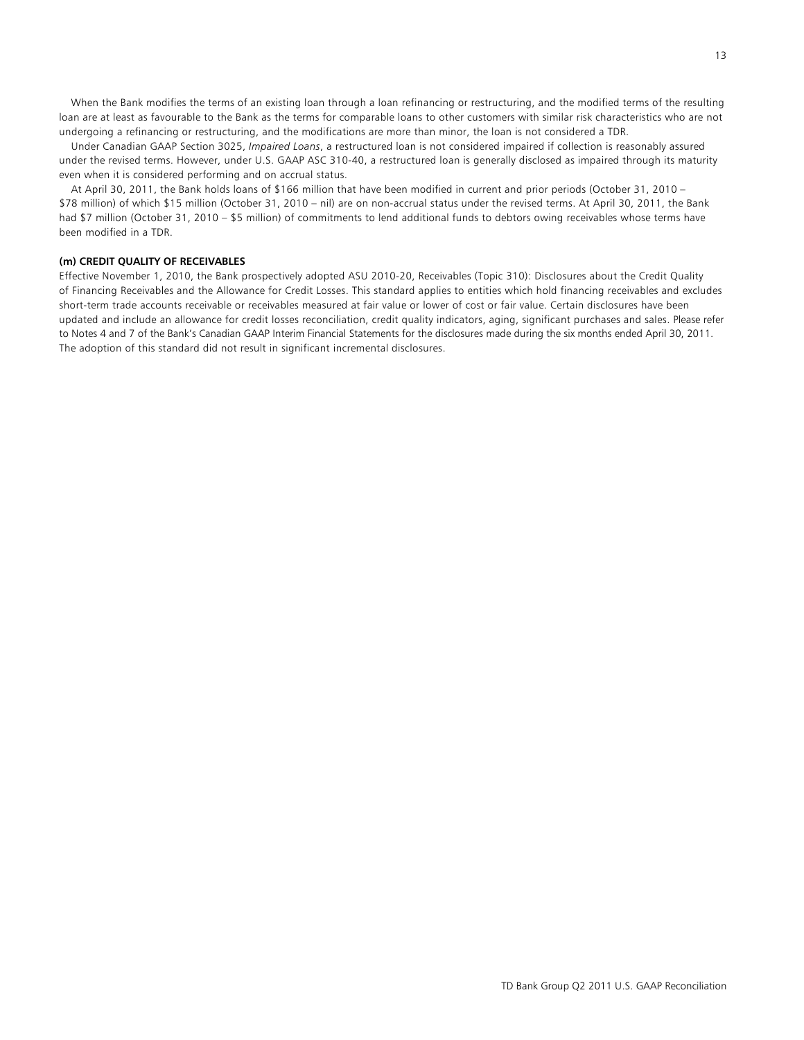When the Bank modifies the terms of an existing loan through a loan refinancing or restructuring, and the modified terms of the resulting loan are at least as favourable to the Bank as the terms for comparable loans to other customers with similar risk characteristics who are not undergoing a refinancing or restructuring, and the modifications are more than minor, the loan is not considered a TDR.

 Under Canadian GAAP Section 3025, *Impaired Loans*, a restructured loan is not considered impaired if collection is reasonably assured under the revised terms. However, under U.S. GAAP ASC 310-40, a restructured loan is generally disclosed as impaired through its maturity even when it is considered performing and on accrual status.

 At April 30, 2011, the Bank holds loans of \$166 million that have been modified in current and prior periods (October 31, 2010 – \$78 million) of which \$15 million (October 31, 2010 – nil) are on non-accrual status under the revised terms. At April 30, 2011, the Bank had \$7 million (October 31, 2010 – \$5 million) of commitments to lend additional funds to debtors owing receivables whose terms have been modified in a TDR.

## **(m) CREDIT QUALITY OF RECEIVABLES**

Effective November 1, 2010, the Bank prospectively adopted ASU 2010-20, Receivables (Topic 310): Disclosures about the Credit Quality of Financing Receivables and the Allowance for Credit Losses. This standard applies to entities which hold financing receivables and excludes short-term trade accounts receivable or receivables measured at fair value or lower of cost or fair value. Certain disclosures have been updated and include an allowance for credit losses reconciliation, credit quality indicators, aging, significant purchases and sales. Please refer to Notes 4 and 7 of the Bank's Canadian GAAP Interim Financial Statements for the disclosures made during the six months ended April 30, 2011. The adoption of this standard did not result in significant incremental disclosures.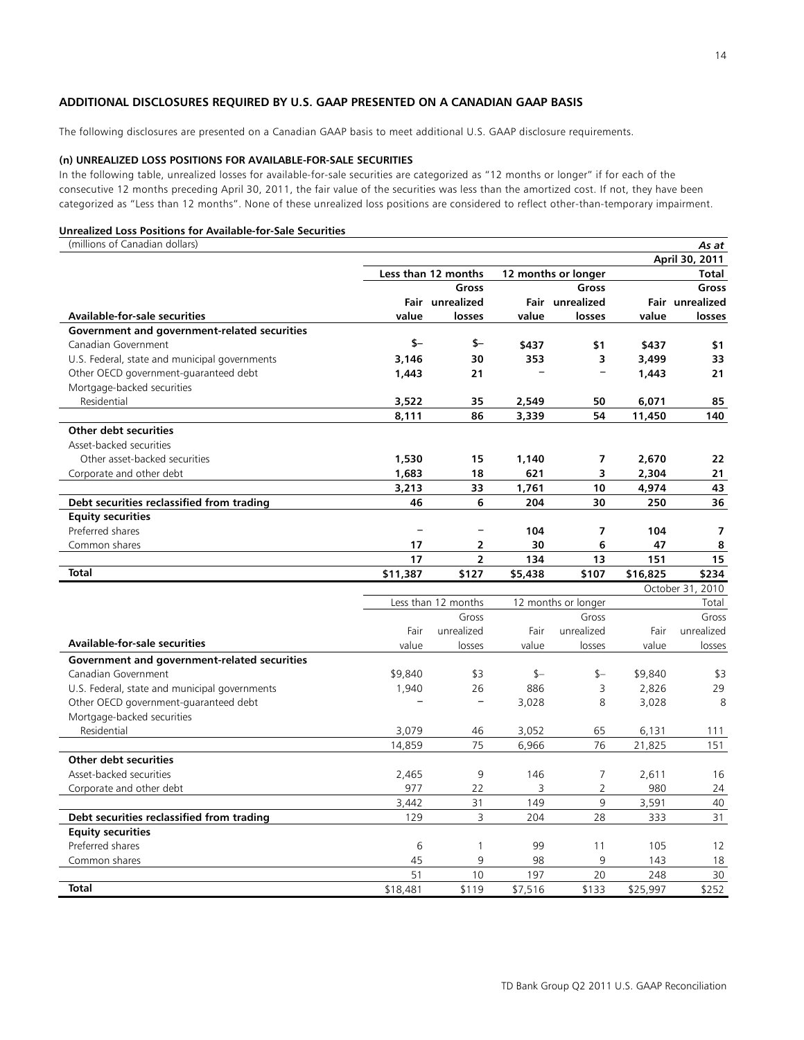## **ADDITIONAL DISCLOSURES REQUIRED BY U.S. GAAP PRESENTED ON A CANADIAN GAAP BASIS**

The following disclosures are presented on a Canadian GAAP basis to meet additional U.S. GAAP disclosure requirements.

## **(n) UNREALIZED LOSS POSITIONS FOR AVAILABLE-FOR-SALE SECURITIES**

In the following table, unrealized losses for available-for-sale securities are categorized as "12 months or longer" if for each of the consecutive 12 months preceding April 30, 2011, the fair value of the securities was less than the amortized cost. If not, they have been categorized as "Less than 12 months". None of these unrealized loss positions are considered to reflect other-than-temporary impairment.

#### **Unrealized Loss Positions for Available-for-Sale Securities**

(millions of Canadian dollars) *As at* **April 30, 2011** Less than 12 months 12 months or longer Total  **Gross Gross Gross Fair unrealized Fair unrealized Fair unrealized Available-for-sale securities value losses value losses value losses Government and government-related securities**  Canadian Government **\$– \$– \$437 \$1 \$437 \$1** U.S. Federal, state and municipal governments **3,146 30 353 3 3,499 33** Other OECD government-guaranteed debt **1,443 21 – – 1,443 21** Mortgage-backed securities Residential **3,522 35 2,549 50 6,071 85 8,111 86 3,339 54 11,450 140 Other debt securities** Asset-backed securities Other asset-backed securities **1,530 15 1,140 7 2,670 22** Corporate and other debt **1,683** 18 621 3 2,304 21 **3,213 33 1,761 10 4,974 43 Debt securities reclassified from trading 46 6 204 30 250 36 Equity securities**  Preferred shares **– – 104 7 104 7** Common shares **17 2 30 6 47 8 17 2 134 13 151 15 Total \$11,387 \$127 \$5,438 \$107 \$16,825 \$234** October 31, 2010 Less than 12 months 12 months or longer Total Gross Gross Gross Fair unrealized Fair unrealized Fair unrealized **Available-for-sale securities** value losses value losses value losses **Government and government-related securities**  Canadian Government 199,840 \$9,840 \$3 5 \$– \$9,840 \$3 U.S. Federal, state and municipal governments 1,940 26 886 3 2,826 29 Other OECD government-guaranteed debt **– –** 3,028 8 3,028 8 Mortgage-backed securities Residential 3,079 46 3,052 65 6,131 111 14,859 75 6,966 76 21,825 151 **Other debt securities** Asset-backed securities 2,465 9 146 7 2,611 16 Corporate and other debt 977 22 3 2 980 24 3,442 31 149 9 3,591 40 **Debt securities reclassified from trading** 129 3 204 28 333 31 **Equity securities**  Preferred shares 6 1 99 11 105 12 Common shares 45 9 98 9 143 18

**Total** \$18,481 \$119 \$7,516 \$133 \$25,997 \$252

51 10 197 20 248 30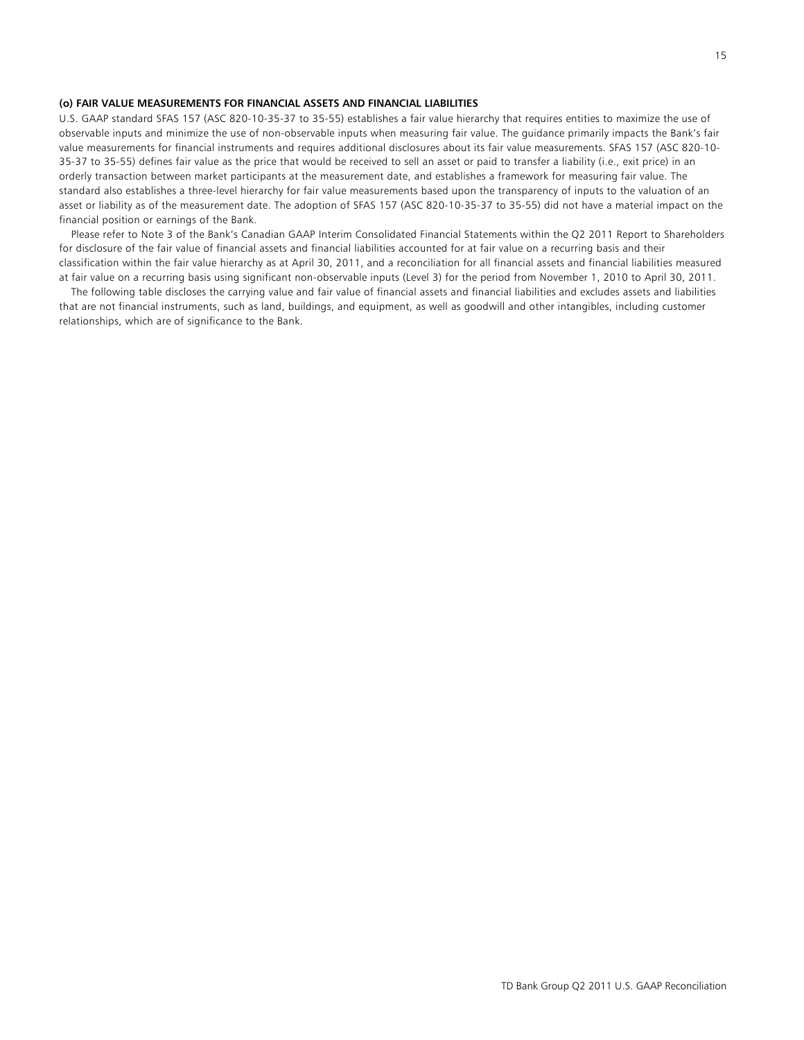#### **(o) FAIR VALUE MEASUREMENTS FOR FINANCIAL ASSETS AND FINANCIAL LIABILITIES**

U.S. GAAP standard SFAS 157 (ASC 820-10-35-37 to 35-55) establishes a fair value hierarchy that requires entities to maximize the use of observable inputs and minimize the use of non-observable inputs when measuring fair value. The guidance primarily impacts the Bank's fair value measurements for financial instruments and requires additional disclosures about its fair value measurements. SFAS 157 (ASC 820-10- 35-37 to 35-55) defines fair value as the price that would be received to sell an asset or paid to transfer a liability (i.e., exit price) in an orderly transaction between market participants at the measurement date, and establishes a framework for measuring fair value. The standard also establishes a three-level hierarchy for fair value measurements based upon the transparency of inputs to the valuation of an asset or liability as of the measurement date. The adoption of SFAS 157 (ASC 820-10-35-37 to 35-55) did not have a material impact on the financial position or earnings of the Bank.

 Please refer to Note 3 of the Bank's Canadian GAAP Interim Consolidated Financial Statements within the Q2 2011 Report to Shareholders for disclosure of the fair value of financial assets and financial liabilities accounted for at fair value on a recurring basis and their classification within the fair value hierarchy as at April 30, 2011, and a reconciliation for all financial assets and financial liabilities measured at fair value on a recurring basis using significant non-observable inputs (Level 3) for the period from November 1, 2010 to April 30, 2011.

 The following table discloses the carrying value and fair value of financial assets and financial liabilities and excludes assets and liabilities that are not financial instruments, such as land, buildings, and equipment, as well as goodwill and other intangibles, including customer relationships, which are of significance to the Bank.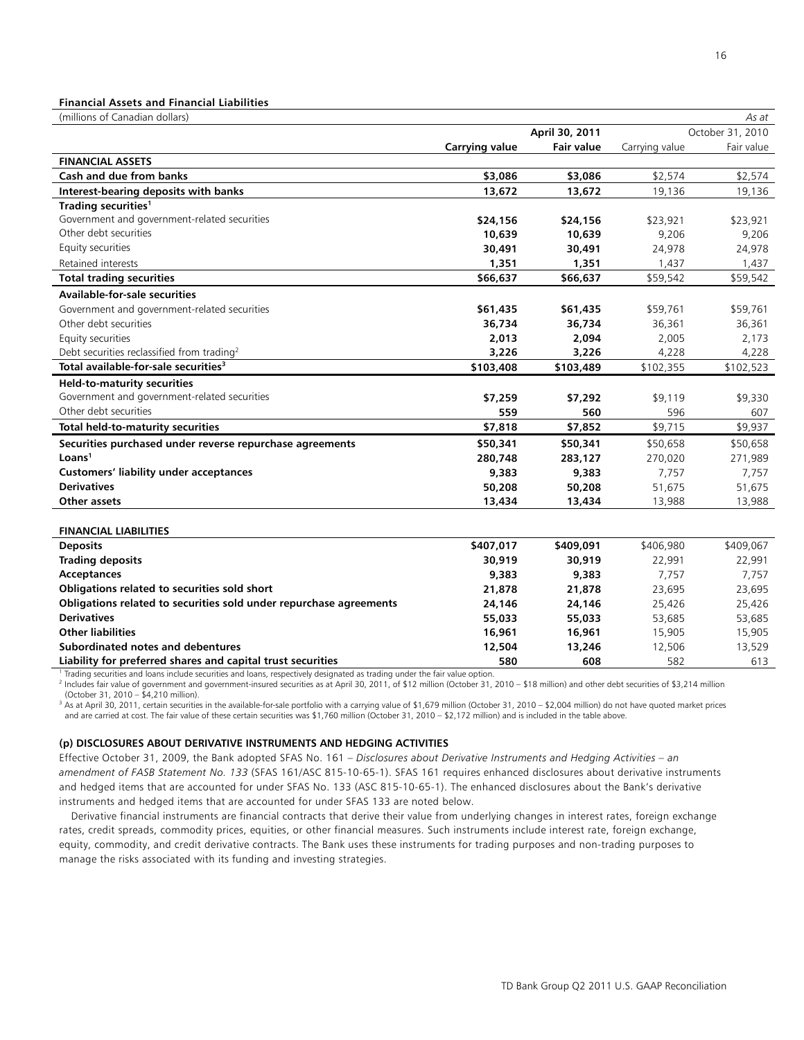#### **Financial Assets and Financial Liabilities**

| (millions of Canadian dollars)                                                                                             |                       |                   |                | As at            |
|----------------------------------------------------------------------------------------------------------------------------|-----------------------|-------------------|----------------|------------------|
|                                                                                                                            |                       | April 30, 2011    |                | October 31, 2010 |
|                                                                                                                            | <b>Carrying value</b> | <b>Fair value</b> | Carrying value | Fair value       |
| <b>FINANCIAL ASSETS</b>                                                                                                    |                       |                   |                |                  |
| Cash and due from banks                                                                                                    | \$3,086               | \$3,086           | \$2,574        | \$2,574          |
| Interest-bearing deposits with banks                                                                                       | 13,672                | 13,672            | 19,136         | 19,136           |
| Trading securities <sup>1</sup>                                                                                            |                       |                   |                |                  |
| Government and government-related securities                                                                               | \$24,156              | \$24,156          | \$23,921       | \$23,921         |
| Other debt securities                                                                                                      | 10,639                | 10,639            | 9,206          | 9,206            |
| Equity securities                                                                                                          | 30,491                | 30,491            | 24,978         | 24,978           |
| Retained interests                                                                                                         | 1,351                 | 1,351             | 1,437          | 1,437            |
| <b>Total trading securities</b>                                                                                            | \$66,637              | \$66,637          | \$59,542       | \$59,542         |
| <b>Available-for-sale securities</b>                                                                                       |                       |                   |                |                  |
| Government and government-related securities                                                                               | \$61,435              | \$61,435          | \$59,761       | \$59,761         |
| Other debt securities                                                                                                      | 36,734                | 36,734            | 36,361         | 36,361           |
| Equity securities                                                                                                          | 2,013                 | 2,094             | 2,005          | 2,173            |
| Debt securities reclassified from trading <sup>2</sup>                                                                     | 3,226                 | 3,226             | 4,228          | 4,228            |
| Total available-for-sale securities <sup>3</sup>                                                                           | \$103,408             | \$103,489         | \$102,355      | \$102,523        |
| <b>Held-to-maturity securities</b>                                                                                         |                       |                   |                |                  |
| Government and government-related securities                                                                               | \$7,259               | \$7,292           | \$9,119        | \$9,330          |
| Other debt securities                                                                                                      | 559                   | 560               | 596            | 607              |
| Total held-to-maturity securities                                                                                          | \$7,818               | \$7,852           | \$9,715        | \$9,937          |
| Securities purchased under reverse repurchase agreements                                                                   | \$50,341              | \$50,341          | \$50,658       | \$50,658         |
| Loans <sup>1</sup>                                                                                                         | 280,748               | 283,127           | 270,020        | 271,989          |
| <b>Customers' liability under acceptances</b>                                                                              | 9,383                 | 9,383             | 7,757          | 7,757            |
| <b>Derivatives</b>                                                                                                         | 50,208                | 50,208            | 51,675         | 51,675           |
| Other assets                                                                                                               | 13,434                | 13,434            | 13,988         | 13,988           |
|                                                                                                                            |                       |                   |                |                  |
| <b>FINANCIAL LIABILITIES</b>                                                                                               |                       |                   |                |                  |
| <b>Deposits</b>                                                                                                            | \$407,017             | \$409,091         | \$406,980      | \$409,067        |
| <b>Trading deposits</b>                                                                                                    | 30,919                | 30,919            | 22,991         | 22,991           |
| Acceptances                                                                                                                | 9,383                 | 9,383             | 7,757          | 7,757            |
| Obligations related to securities sold short                                                                               | 21,878                | 21,878            | 23,695         | 23,695           |
| Obligations related to securities sold under repurchase agreements                                                         | 24,146                | 24,146            | 25,426         | 25,426           |
| <b>Derivatives</b>                                                                                                         | 55,033                | 55,033            | 53,685         | 53,685           |
| <b>Other liabilities</b>                                                                                                   | 16,961                | 16,961            | 15,905         | 15,905           |
| Subordinated notes and debentures                                                                                          | 12,504                | 13,246            | 12,506         | 13,529           |
| Liability for preferred shares and capital trust securities                                                                | 580                   | 608               | 582            | 613              |
| Trading securities and loans include securities and loans, respectively designated as trading under the fair value option. |                       |                   |                |                  |

2 Includes fair value of government and government-insured securities as at April 30, 2011, of \$12 million (October 31, 2010 – \$18 million) and other debt securities of \$3,214 million (October 31, 2010 – \$4,210 million).

 $3$  As at April 30, 2011, certain securities in the available-for-sale portfolio with a carrying value of \$1,679 million (October 31, 2010 – \$2,004 million) do not have quoted market prices and are carried at cost. The fair value of these certain securities was \$1,760 million (October 31, 2010 – \$2,172 million) and is included in the table above.

## **(p) DISCLOSURES ABOUT DERIVATIVE INSTRUMENTS AND HEDGING ACTIVITIES**

Effective October 31, 2009, the Bank adopted SFAS No. 161 – *Disclosures about Derivative Instruments and Hedging Activities – an amendment of FASB Statement No. 133* (SFAS 161/ASC 815-10-65-1). SFAS 161 requires enhanced disclosures about derivative instruments and hedged items that are accounted for under SFAS No. 133 (ASC 815-10-65-1). The enhanced disclosures about the Bank's derivative instruments and hedged items that are accounted for under SFAS 133 are noted below.

 Derivative financial instruments are financial contracts that derive their value from underlying changes in interest rates, foreign exchange rates, credit spreads, commodity prices, equities, or other financial measures. Such instruments include interest rate, foreign exchange, equity, commodity, and credit derivative contracts. The Bank uses these instruments for trading purposes and non-trading purposes to manage the risks associated with its funding and investing strategies.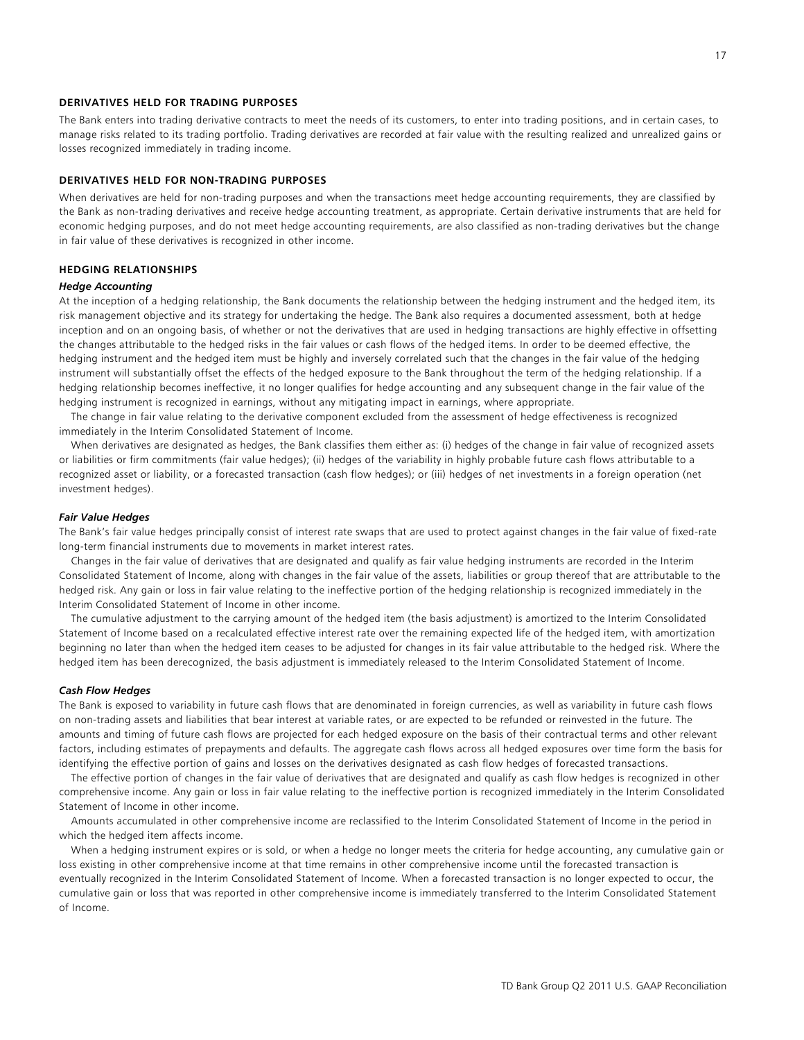## **DERIVATIVES HELD FOR TRADING PURPOSES**

The Bank enters into trading derivative contracts to meet the needs of its customers, to enter into trading positions, and in certain cases, to manage risks related to its trading portfolio. Trading derivatives are recorded at fair value with the resulting realized and unrealized gains or losses recognized immediately in trading income.

## **DERIVATIVES HELD FOR NON-TRADING PURPOSES**

When derivatives are held for non-trading purposes and when the transactions meet hedge accounting requirements, they are classified by the Bank as non-trading derivatives and receive hedge accounting treatment, as appropriate. Certain derivative instruments that are held for economic hedging purposes, and do not meet hedge accounting requirements, are also classified as non-trading derivatives but the change in fair value of these derivatives is recognized in other income.

### **HEDGING RELATIONSHIPS**

#### *Hedge Accounting*

At the inception of a hedging relationship, the Bank documents the relationship between the hedging instrument and the hedged item, its risk management objective and its strategy for undertaking the hedge. The Bank also requires a documented assessment, both at hedge inception and on an ongoing basis, of whether or not the derivatives that are used in hedging transactions are highly effective in offsetting the changes attributable to the hedged risks in the fair values or cash flows of the hedged items. In order to be deemed effective, the hedging instrument and the hedged item must be highly and inversely correlated such that the changes in the fair value of the hedging instrument will substantially offset the effects of the hedged exposure to the Bank throughout the term of the hedging relationship. If a hedging relationship becomes ineffective, it no longer qualifies for hedge accounting and any subsequent change in the fair value of the hedging instrument is recognized in earnings, without any mitigating impact in earnings, where appropriate.

 The change in fair value relating to the derivative component excluded from the assessment of hedge effectiveness is recognized immediately in the Interim Consolidated Statement of Income.

 When derivatives are designated as hedges, the Bank classifies them either as: (i) hedges of the change in fair value of recognized assets or liabilities or firm commitments (fair value hedges); (ii) hedges of the variability in highly probable future cash flows attributable to a recognized asset or liability, or a forecasted transaction (cash flow hedges); or (iii) hedges of net investments in a foreign operation (net investment hedges).

#### *Fair Value Hedges*

The Bank's fair value hedges principally consist of interest rate swaps that are used to protect against changes in the fair value of fixed-rate long-term financial instruments due to movements in market interest rates.

 Changes in the fair value of derivatives that are designated and qualify as fair value hedging instruments are recorded in the Interim Consolidated Statement of Income, along with changes in the fair value of the assets, liabilities or group thereof that are attributable to the hedged risk. Any gain or loss in fair value relating to the ineffective portion of the hedging relationship is recognized immediately in the Interim Consolidated Statement of Income in other income.

 The cumulative adjustment to the carrying amount of the hedged item (the basis adjustment) is amortized to the Interim Consolidated Statement of Income based on a recalculated effective interest rate over the remaining expected life of the hedged item, with amortization beginning no later than when the hedged item ceases to be adjusted for changes in its fair value attributable to the hedged risk. Where the hedged item has been derecognized, the basis adjustment is immediately released to the Interim Consolidated Statement of Income.

#### *Cash Flow Hedges*

The Bank is exposed to variability in future cash flows that are denominated in foreign currencies, as well as variability in future cash flows on non-trading assets and liabilities that bear interest at variable rates, or are expected to be refunded or reinvested in the future. The amounts and timing of future cash flows are projected for each hedged exposure on the basis of their contractual terms and other relevant factors, including estimates of prepayments and defaults. The aggregate cash flows across all hedged exposures over time form the basis for identifying the effective portion of gains and losses on the derivatives designated as cash flow hedges of forecasted transactions.

 The effective portion of changes in the fair value of derivatives that are designated and qualify as cash flow hedges is recognized in other comprehensive income. Any gain or loss in fair value relating to the ineffective portion is recognized immediately in the Interim Consolidated Statement of Income in other income.

 Amounts accumulated in other comprehensive income are reclassified to the Interim Consolidated Statement of Income in the period in which the hedged item affects income.

 When a hedging instrument expires or is sold, or when a hedge no longer meets the criteria for hedge accounting, any cumulative gain or loss existing in other comprehensive income at that time remains in other comprehensive income until the forecasted transaction is eventually recognized in the Interim Consolidated Statement of Income. When a forecasted transaction is no longer expected to occur, the cumulative gain or loss that was reported in other comprehensive income is immediately transferred to the Interim Consolidated Statement of Income.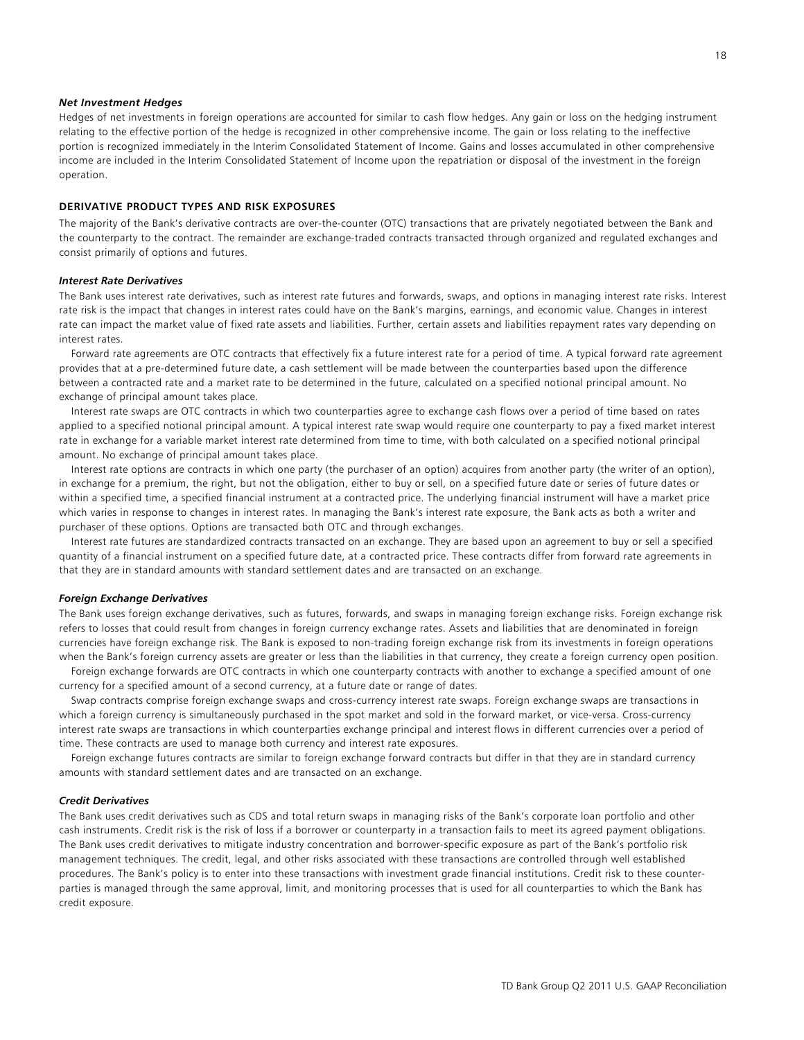#### *Net Investment Hedges*

Hedges of net investments in foreign operations are accounted for similar to cash flow hedges. Any gain or loss on the hedging instrument relating to the effective portion of the hedge is recognized in other comprehensive income. The gain or loss relating to the ineffective portion is recognized immediately in the Interim Consolidated Statement of Income. Gains and losses accumulated in other comprehensive income are included in the Interim Consolidated Statement of Income upon the repatriation or disposal of the investment in the foreign operation.

#### **DERIVATIVE PRODUCT TYPES AND RISK EXPOSURES**

The majority of the Bank's derivative contracts are over-the-counter (OTC) transactions that are privately negotiated between the Bank and the counterparty to the contract. The remainder are exchange-traded contracts transacted through organized and regulated exchanges and consist primarily of options and futures.

#### *Interest Rate Derivatives*

The Bank uses interest rate derivatives, such as interest rate futures and forwards, swaps, and options in managing interest rate risks. Interest rate risk is the impact that changes in interest rates could have on the Bank's margins, earnings, and economic value. Changes in interest rate can impact the market value of fixed rate assets and liabilities. Further, certain assets and liabilities repayment rates vary depending on interest rates.

 Forward rate agreements are OTC contracts that effectively fix a future interest rate for a period of time. A typical forward rate agreement provides that at a pre-determined future date, a cash settlement will be made between the counterparties based upon the difference between a contracted rate and a market rate to be determined in the future, calculated on a specified notional principal amount. No exchange of principal amount takes place.

 Interest rate swaps are OTC contracts in which two counterparties agree to exchange cash flows over a period of time based on rates applied to a specified notional principal amount. A typical interest rate swap would require one counterparty to pay a fixed market interest rate in exchange for a variable market interest rate determined from time to time, with both calculated on a specified notional principal amount. No exchange of principal amount takes place.

 Interest rate options are contracts in which one party (the purchaser of an option) acquires from another party (the writer of an option), in exchange for a premium, the right, but not the obligation, either to buy or sell, on a specified future date or series of future dates or within a specified time, a specified financial instrument at a contracted price. The underlying financial instrument will have a market price which varies in response to changes in interest rates. In managing the Bank's interest rate exposure, the Bank acts as both a writer and purchaser of these options. Options are transacted both OTC and through exchanges.

 Interest rate futures are standardized contracts transacted on an exchange. They are based upon an agreement to buy or sell a specified quantity of a financial instrument on a specified future date, at a contracted price. These contracts differ from forward rate agreements in that they are in standard amounts with standard settlement dates and are transacted on an exchange.

#### *Foreign Exchange Derivatives*

The Bank uses foreign exchange derivatives, such as futures, forwards, and swaps in managing foreign exchange risks. Foreign exchange risk refers to losses that could result from changes in foreign currency exchange rates. Assets and liabilities that are denominated in foreign currencies have foreign exchange risk. The Bank is exposed to non-trading foreign exchange risk from its investments in foreign operations when the Bank's foreign currency assets are greater or less than the liabilities in that currency, they create a foreign currency open position.

 Foreign exchange forwards are OTC contracts in which one counterparty contracts with another to exchange a specified amount of one currency for a specified amount of a second currency, at a future date or range of dates.

 Swap contracts comprise foreign exchange swaps and cross-currency interest rate swaps. Foreign exchange swaps are transactions in which a foreign currency is simultaneously purchased in the spot market and sold in the forward market, or vice-versa. Cross-currency interest rate swaps are transactions in which counterparties exchange principal and interest flows in different currencies over a period of time. These contracts are used to manage both currency and interest rate exposures.

 Foreign exchange futures contracts are similar to foreign exchange forward contracts but differ in that they are in standard currency amounts with standard settlement dates and are transacted on an exchange.

#### *Credit Derivatives*

The Bank uses credit derivatives such as CDS and total return swaps in managing risks of the Bank's corporate loan portfolio and other cash instruments. Credit risk is the risk of loss if a borrower or counterparty in a transaction fails to meet its agreed payment obligations. The Bank uses credit derivatives to mitigate industry concentration and borrower-specific exposure as part of the Bank's portfolio risk management techniques. The credit, legal, and other risks associated with these transactions are controlled through well established procedures. The Bank's policy is to enter into these transactions with investment grade financial institutions. Credit risk to these counterparties is managed through the same approval, limit, and monitoring processes that is used for all counterparties to which the Bank has credit exposure.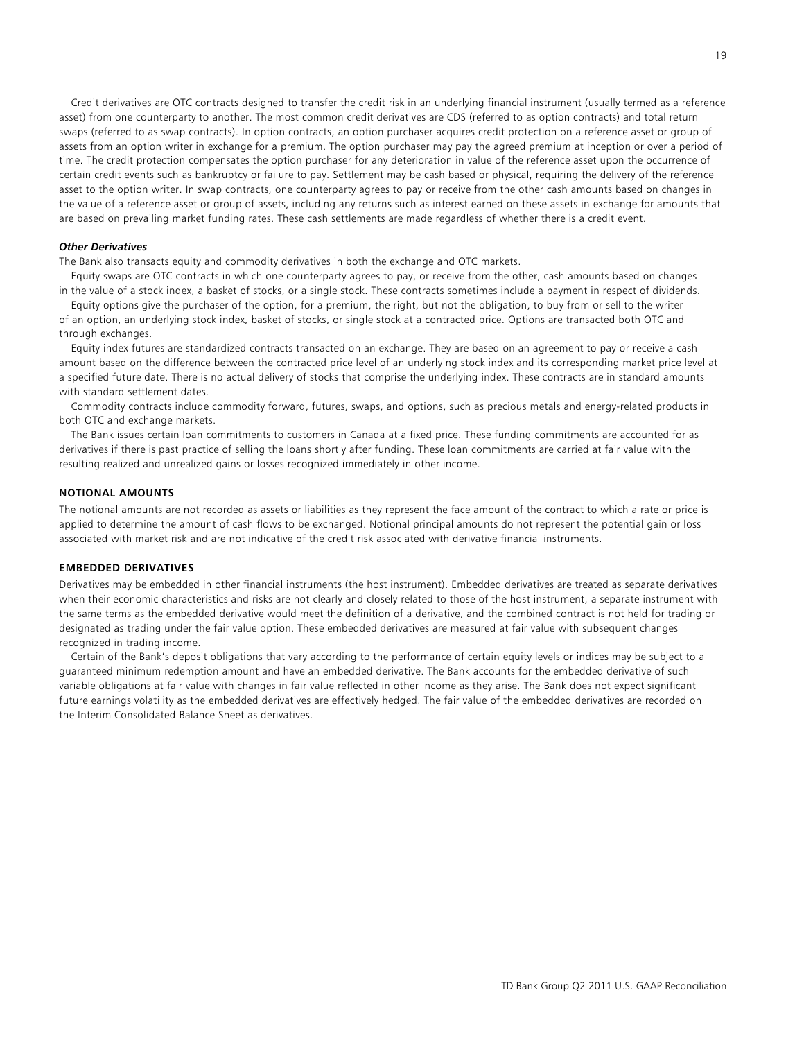Credit derivatives are OTC contracts designed to transfer the credit risk in an underlying financial instrument (usually termed as a reference asset) from one counterparty to another. The most common credit derivatives are CDS (referred to as option contracts) and total return swaps (referred to as swap contracts). In option contracts, an option purchaser acquires credit protection on a reference asset or group of assets from an option writer in exchange for a premium. The option purchaser may pay the agreed premium at inception or over a period of time. The credit protection compensates the option purchaser for any deterioration in value of the reference asset upon the occurrence of certain credit events such as bankruptcy or failure to pay. Settlement may be cash based or physical, requiring the delivery of the reference asset to the option writer. In swap contracts, one counterparty agrees to pay or receive from the other cash amounts based on changes in the value of a reference asset or group of assets, including any returns such as interest earned on these assets in exchange for amounts that are based on prevailing market funding rates. These cash settlements are made regardless of whether there is a credit event.

## *Other Derivatives*

The Bank also transacts equity and commodity derivatives in both the exchange and OTC markets.

 Equity swaps are OTC contracts in which one counterparty agrees to pay, or receive from the other, cash amounts based on changes in the value of a stock index, a basket of stocks, or a single stock. These contracts sometimes include a payment in respect of dividends.

 Equity options give the purchaser of the option, for a premium, the right, but not the obligation, to buy from or sell to the writer of an option, an underlying stock index, basket of stocks, or single stock at a contracted price. Options are transacted both OTC and through exchanges.

 Equity index futures are standardized contracts transacted on an exchange. They are based on an agreement to pay or receive a cash amount based on the difference between the contracted price level of an underlying stock index and its corresponding market price level at a specified future date. There is no actual delivery of stocks that comprise the underlying index. These contracts are in standard amounts with standard settlement dates.

 Commodity contracts include commodity forward, futures, swaps, and options, such as precious metals and energy-related products in both OTC and exchange markets.

 The Bank issues certain loan commitments to customers in Canada at a fixed price. These funding commitments are accounted for as derivatives if there is past practice of selling the loans shortly after funding. These loan commitments are carried at fair value with the resulting realized and unrealized gains or losses recognized immediately in other income.

#### **NOTIONAL AMOUNTS**

The notional amounts are not recorded as assets or liabilities as they represent the face amount of the contract to which a rate or price is applied to determine the amount of cash flows to be exchanged. Notional principal amounts do not represent the potential gain or loss associated with market risk and are not indicative of the credit risk associated with derivative financial instruments.

## **EMBEDDED DERIVATIVES**

Derivatives may be embedded in other financial instruments (the host instrument). Embedded derivatives are treated as separate derivatives when their economic characteristics and risks are not clearly and closely related to those of the host instrument, a separate instrument with the same terms as the embedded derivative would meet the definition of a derivative, and the combined contract is not held for trading or designated as trading under the fair value option. These embedded derivatives are measured at fair value with subsequent changes recognized in trading income.

 Certain of the Bank's deposit obligations that vary according to the performance of certain equity levels or indices may be subject to a guaranteed minimum redemption amount and have an embedded derivative. The Bank accounts for the embedded derivative of such variable obligations at fair value with changes in fair value reflected in other income as they arise. The Bank does not expect significant future earnings volatility as the embedded derivatives are effectively hedged. The fair value of the embedded derivatives are recorded on the Interim Consolidated Balance Sheet as derivatives.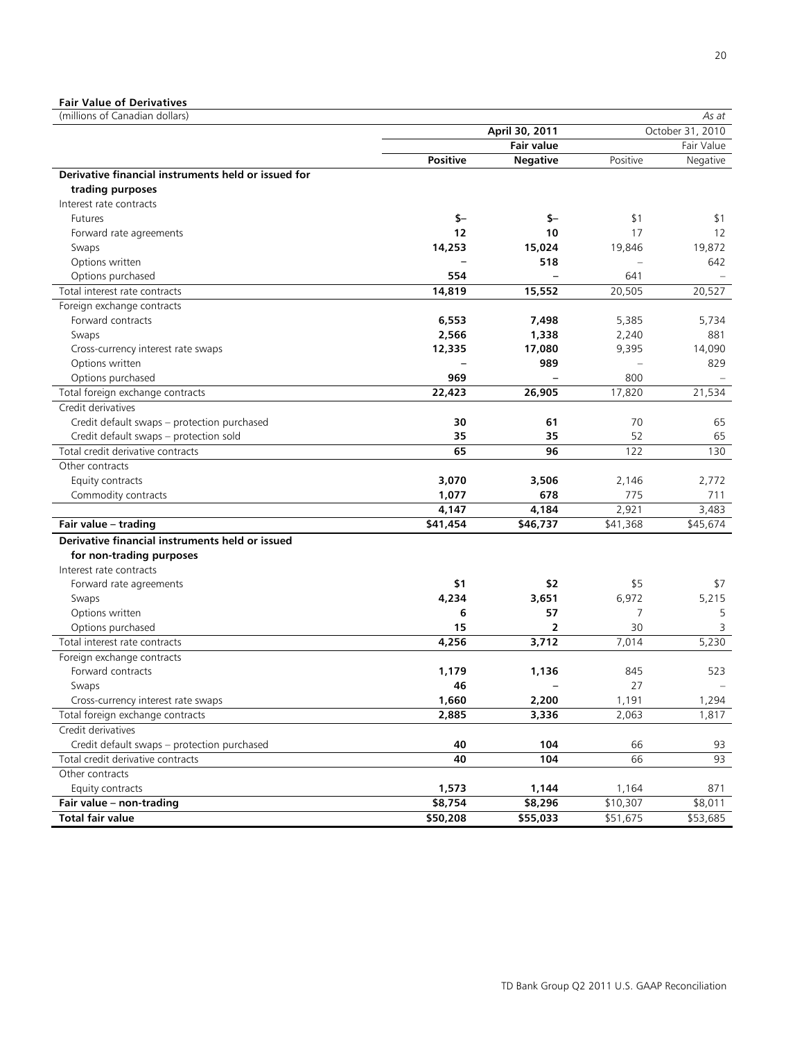# **Fair Value of Derivatives**

| (millions of Canadian dollars)                      |                |                   |          | As at            |
|-----------------------------------------------------|----------------|-------------------|----------|------------------|
|                                                     | April 30, 2011 |                   |          | October 31, 2010 |
|                                                     |                | <b>Fair value</b> |          | Fair Value       |
|                                                     | Positive       | <b>Negative</b>   | Positive | Negative         |
| Derivative financial instruments held or issued for |                |                   |          |                  |
| trading purposes                                    |                |                   |          |                  |
| Interest rate contracts                             |                |                   |          |                  |
| <b>Futures</b>                                      | $$-$           | $$ -$             | \$1      | \$1              |
| Forward rate agreements                             | 12             | 10                | 17       | 12               |
| Swaps                                               | 14,253         | 15,024            | 19,846   | 19,872           |
| Options written                                     |                | 518               |          | 642              |
| Options purchased                                   | 554            |                   | 641      |                  |
| Total interest rate contracts                       | 14,819         | 15,552            | 20,505   | 20,527           |
| Foreign exchange contracts                          |                |                   |          |                  |
| Forward contracts                                   | 6,553          | 7,498             | 5,385    | 5,734            |
| Swaps                                               | 2,566          | 1,338             | 2,240    | 881              |
| Cross-currency interest rate swaps                  | 12,335         | 17,080            | 9,395    | 14,090           |
| Options written                                     |                | 989               |          | 829              |
| Options purchased                                   | 969            |                   | 800      |                  |
| Total foreign exchange contracts                    | 22,423         | 26,905            | 17,820   | 21,534           |
| Credit derivatives                                  |                |                   |          |                  |
| Credit default swaps - protection purchased         | 30             | 61                | 70       | 65               |
| Credit default swaps - protection sold              | 35             | 35                | 52       | 65               |
| Total credit derivative contracts                   | 65             | 96                | 122      | 130              |
| Other contracts                                     |                |                   |          |                  |
| Equity contracts                                    | 3,070          | 3,506             | 2,146    | 2,772            |
| Commodity contracts                                 | 1,077          | 678               | 775      | 711              |
|                                                     | 4,147          | 4,184             | 2,921    | 3,483            |
| Fair value - trading                                | \$41,454       | \$46,737          | \$41,368 | \$45,674         |
| Derivative financial instruments held or issued     |                |                   |          |                  |
| for non-trading purposes                            |                |                   |          |                  |
| Interest rate contracts                             |                |                   |          |                  |
| Forward rate agreements                             | \$1            | \$2               | \$5      | \$7              |
| Swaps                                               | 4,234          | 3,651             | 6,972    | 5,215            |
| Options written                                     | 6              | 57                | 7        | 5                |
| Options purchased                                   | 15             | $\overline{2}$    | 30       | 3                |
| Total interest rate contracts                       | 4,256          | 3,712             | 7,014    | 5,230            |
| Foreign exchange contracts                          |                |                   |          |                  |
| Forward contracts                                   | 1,179          | 1,136             | 845      | 523              |
| Swaps                                               | 46             |                   | 27       |                  |
| Cross-currency interest rate swaps                  | 1,660          | 2,200             | 1,191    | 1,294            |
| Total foreign exchange contracts                    | 2,885          | 3,336             | 2,063    | 1,817            |
| Credit derivatives                                  |                |                   |          |                  |
| Credit default swaps - protection purchased         | 40             | 104               | 66       | 93               |
| Total credit derivative contracts                   | 40             | 104               | 66       | 93               |
| Other contracts                                     |                |                   |          |                  |
| Equity contracts                                    | 1,573          | 1,144             | 1,164    | 871              |
| Fair value - non-trading                            | \$8,754        | \$8,296           | \$10,307 | \$8,011          |
| <b>Total fair value</b>                             | \$50,208       | \$55,033          | \$51,675 | \$53,685         |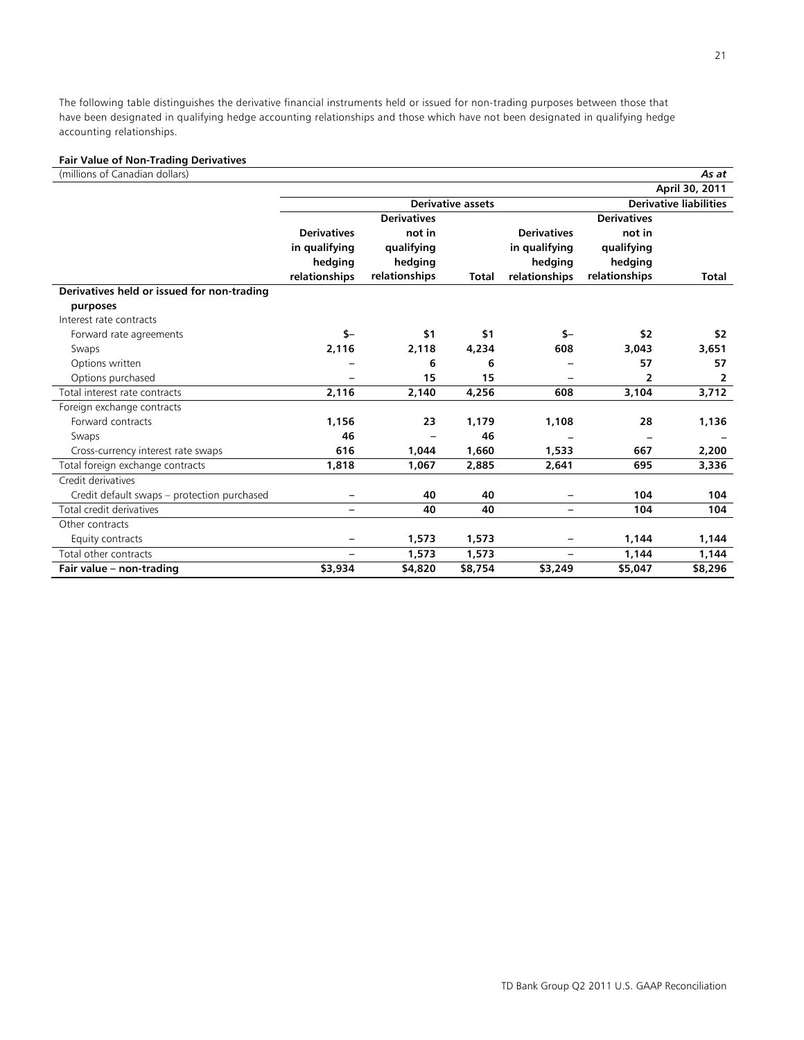The following table distinguishes the derivative financial instruments held or issued for non-trading purposes between those that have been designated in qualifying hedge accounting relationships and those which have not been designated in qualifying hedge accounting relationships.

#### **Fair Value of Non-Trading Derivatives**

| (millions of Canadian dollars)              |                          |                    |                          |                          |                               | As at          |
|---------------------------------------------|--------------------------|--------------------|--------------------------|--------------------------|-------------------------------|----------------|
|                                             |                          |                    |                          |                          |                               | April 30, 2011 |
|                                             |                          |                    | <b>Derivative assets</b> |                          | <b>Derivative liabilities</b> |                |
|                                             |                          | <b>Derivatives</b> |                          |                          | <b>Derivatives</b>            |                |
|                                             | <b>Derivatives</b>       | not in             |                          | <b>Derivatives</b>       | not in                        |                |
|                                             | in qualifying            | qualifying         |                          | in qualifying            | qualifying                    |                |
|                                             | hedging                  | hedging            |                          | hedging                  | hedging                       |                |
|                                             | relationships            | relationships      | Total                    | relationships            | relationships                 | Total          |
| Derivatives held or issued for non-trading  |                          |                    |                          |                          |                               |                |
| purposes                                    |                          |                    |                          |                          |                               |                |
| Interest rate contracts                     |                          |                    |                          |                          |                               |                |
| Forward rate agreements                     | $S-$                     | \$1                | \$1                      | $S-$                     | \$2                           | \$2            |
| Swaps                                       | 2,116                    | 2,118              | 4,234                    | 608                      | 3,043                         | 3,651          |
| Options written                             |                          | 6                  | 6                        |                          | 57                            | 57             |
| Options purchased                           |                          | 15                 | 15                       |                          | 2                             | 2              |
| Total interest rate contracts               | 2,116                    | 2,140              | 4,256                    | 608                      | 3,104                         | 3,712          |
| Foreign exchange contracts                  |                          |                    |                          |                          |                               |                |
| Forward contracts                           | 1,156                    | 23                 | 1,179                    | 1,108                    | 28                            | 1,136          |
| Swaps                                       | 46                       |                    | 46                       |                          |                               |                |
| Cross-currency interest rate swaps          | 616                      | 1,044              | 1,660                    | 1,533                    | 667                           | 2,200          |
| Total foreign exchange contracts            | 1,818                    | 1,067              | 2,885                    | 2,641                    | 695                           | 3,336          |
| Credit derivatives                          |                          |                    |                          |                          |                               |                |
| Credit default swaps - protection purchased |                          | 40                 | 40                       |                          | 104                           | 104            |
| Total credit derivatives                    | $\qquad \qquad -$        | 40                 | 40                       | $\overline{\phantom{0}}$ | 104                           | 104            |
| Other contracts                             |                          |                    |                          |                          |                               |                |
| Equity contracts                            |                          | 1,573              | 1,573                    |                          | 1,144                         | 1,144          |
| Total other contracts                       | $\overline{\phantom{0}}$ | 1,573              | 1,573                    | $\overline{\phantom{0}}$ | 1,144                         | 1,144          |
| Fair value - non-trading                    | \$3,934                  | \$4,820            | \$8,754                  | \$3,249                  | \$5,047                       | \$8,296        |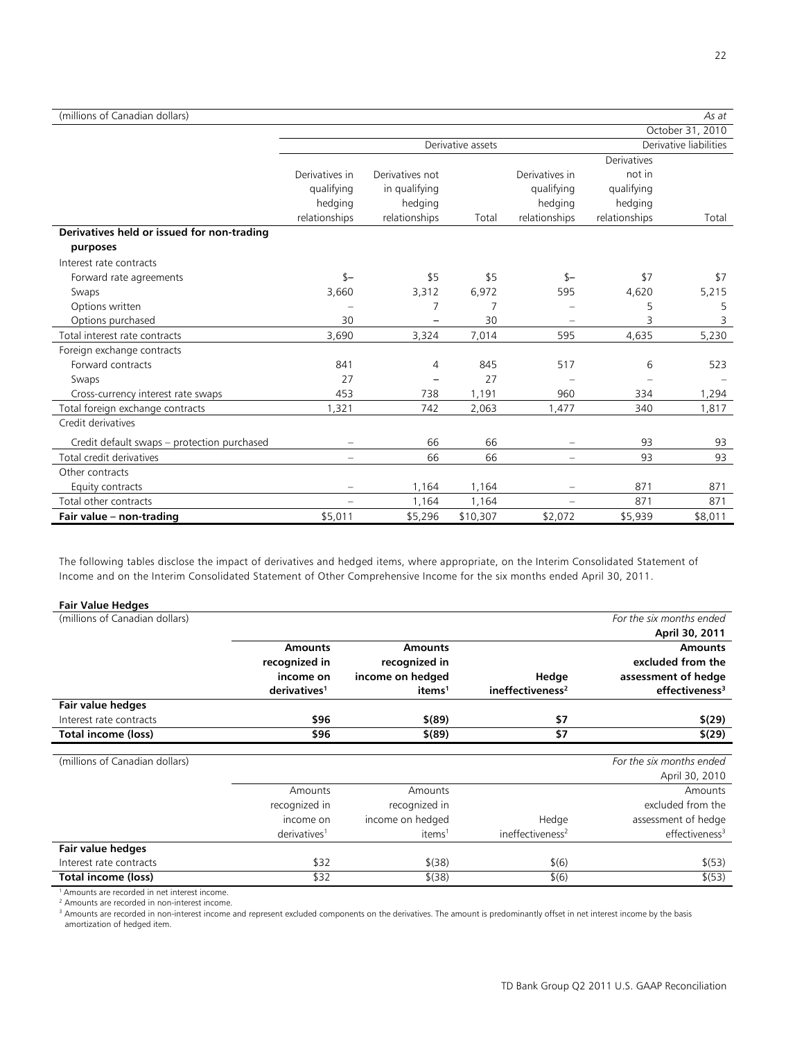| (millions of Canadian dollars) | As at |
|--------------------------------|-------|
|--------------------------------|-------|

|                                             |                |                 |                   |                |               | October 31, 2010       |
|---------------------------------------------|----------------|-----------------|-------------------|----------------|---------------|------------------------|
|                                             |                |                 | Derivative assets |                |               | Derivative liabilities |
|                                             |                |                 |                   |                | Derivatives   |                        |
|                                             | Derivatives in | Derivatives not |                   | Derivatives in | not in        |                        |
|                                             | qualifying     | in qualifying   |                   | qualifying     | qualifying    |                        |
|                                             | hedging        | hedging         |                   | hedging        | hedging       |                        |
|                                             | relationships  | relationships   | Total             | relationships  | relationships | Total                  |
| Derivatives held or issued for non-trading  |                |                 |                   |                |               |                        |
| purposes                                    |                |                 |                   |                |               |                        |
| Interest rate contracts                     |                |                 |                   |                |               |                        |
| Forward rate agreements                     | $s-$           | \$5             | \$5               | $s-$           | \$7           | \$7                    |
| Swaps                                       | 3,660          | 3,312           | 6,972             | 595            | 4,620         | 5,215                  |
| Options written                             |                | 7               | 7                 |                | 5             | 5                      |
| Options purchased                           | 30             |                 | 30                |                | 3             | 3                      |
| Total interest rate contracts               | 3,690          | 3,324           | 7,014             | 595            | 4,635         | 5,230                  |
| Foreign exchange contracts                  |                |                 |                   |                |               |                        |
| Forward contracts                           | 841            | 4               | 845               | 517            | 6             | 523                    |
| Swaps                                       | 27             |                 | 27                |                |               |                        |
| Cross-currency interest rate swaps          | 453            | 738             | 1,191             | 960            | 334           | 1,294                  |
| Total foreign exchange contracts            | 1,321          | 742             | 2,063             | 1,477          | 340           | 1,817                  |
| Credit derivatives                          |                |                 |                   |                |               |                        |
| Credit default swaps – protection purchased |                | 66              | 66                |                | 93            | 93                     |
| Total credit derivatives                    | $\equiv$       | 66              | 66                | $\equiv$       | 93            | 93                     |
| Other contracts                             |                |                 |                   |                |               |                        |
| Equity contracts                            |                | 1,164           | 1,164             |                | 871           | 871                    |
| Total other contracts                       |                | 1,164           | 1,164             |                | 871           | 871                    |
| Fair value - non-trading                    | \$5,011        | \$5,296         | \$10,307          | \$2,072        | \$5,939       | \$8,011                |

The following tables disclose the impact of derivatives and hedged items, where appropriate, on the Interim Consolidated Statement of Income and on the Interim Consolidated Statement of Other Comprehensive Income for the six months ended April 30, 2011.

| <b>Fair Value Hedges</b>       |                          |                    |                              |                            |
|--------------------------------|--------------------------|--------------------|------------------------------|----------------------------|
| (millions of Canadian dollars) |                          |                    |                              | For the six months ended   |
|                                |                          |                    |                              | April 30, 2011             |
|                                | <b>Amounts</b>           | <b>Amounts</b>     |                              | <b>Amounts</b>             |
|                                | recognized in            | recognized in      |                              | excluded from the          |
|                                | income on                | income on hedged   | Hedge                        | assessment of hedge        |
|                                | derivatives <sup>1</sup> | items <sup>1</sup> | ineffectiveness <sup>2</sup> | effectiveness <sup>3</sup> |
| Fair value hedges              |                          |                    |                              |                            |
| Interest rate contracts        | \$96                     | $$^{(89)}$         | \$7                          | \$(29)                     |
| <b>Total income (loss)</b>     | \$96                     | $$^{(89)}$         | \$7                          | \$(29)                     |
| (millions of Canadian dollars) |                          |                    |                              | For the six months ended   |
|                                |                          |                    |                              | April 30, 2010             |
|                                | Amounts                  | Amounts            |                              | Amounts                    |
|                                | recognized in            | recognized in      |                              | excluded from the          |
|                                | income on                | income on hedged   | Hedge                        | assessment of hedge        |
|                                | derivatives <sup>1</sup> | items <sup>1</sup> | ineffectiveness <sup>2</sup> | effectiveness <sup>3</sup> |
| Fair value hedges              |                          |                    |                              |                            |
| Interest rate contracts        | \$32                     | $$^{(38)}$         | \$(6)                        | \$(53)                     |
| Total income (loss)            | \$32                     | $$^{(38)}$         | \$(6)                        | \$ (53)                    |

1 Amounts are recorded in net interest income.

2 Amounts are recorded in non-interest income.

<sup>3</sup> Amounts are recorded in non-interest income and represent excluded components on the derivatives. The amount is predominantly offset in net interest income by the basis amortization of hedged item.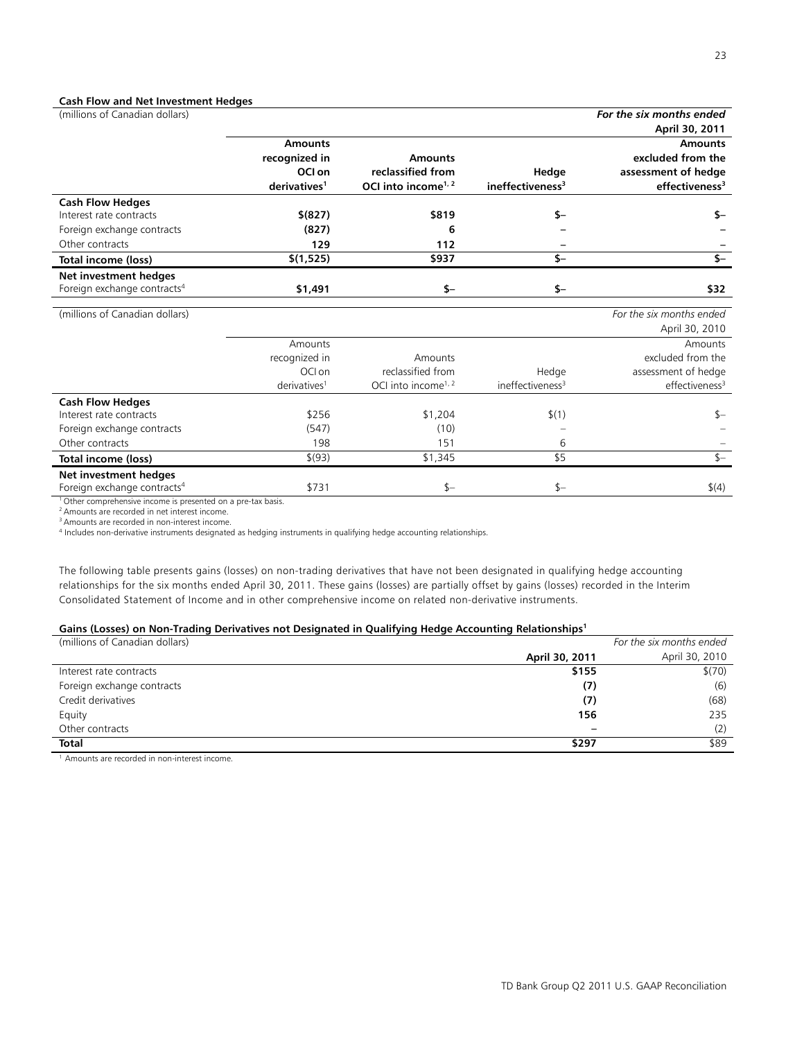## **Cash Flow and Net Investment Hedges**

| (millions of Canadian dollars)          |                          |                                 |                              | For the six months ended   |
|-----------------------------------------|--------------------------|---------------------------------|------------------------------|----------------------------|
|                                         |                          |                                 |                              | April 30, 2011             |
|                                         | <b>Amounts</b>           |                                 |                              | <b>Amounts</b>             |
|                                         | recognized in            | <b>Amounts</b>                  |                              | excluded from the          |
|                                         | OCI on                   | reclassified from               | Hedge                        | assessment of hedge        |
|                                         | derivatives <sup>1</sup> | OCI into income <sup>1, 2</sup> | ineffectiveness <sup>3</sup> | effectiveness <sup>3</sup> |
| <b>Cash Flow Hedges</b>                 |                          |                                 |                              |                            |
| Interest rate contracts                 | \$ (827)                 | \$819                           | \$-                          | \$-                        |
| Foreign exchange contracts              | (827)                    | 6                               |                              |                            |
| Other contracts                         | 129                      | 112                             |                              |                            |
| Total income (loss)                     | \$(1,525)                | \$937                           | $S-$                         | $\overline{\mathsf{S}}$    |
| Net investment hedges                   |                          |                                 |                              |                            |
| Foreign exchange contracts <sup>4</sup> | \$1,491                  | $$-$                            | $$ -$                        | \$32                       |
| (millions of Canadian dollars)          |                          |                                 |                              | For the six months ended   |
|                                         |                          |                                 |                              | April 30, 2010             |
|                                         | Amounts                  |                                 |                              | Amounts                    |
|                                         | recognized in            | Amounts                         |                              | excluded from the          |
|                                         | OCI on                   | reclassified from               | Hedge                        | assessment of hedge        |
|                                         | derivatives <sup>1</sup> | OCI into income <sup>1, 2</sup> | ineffectiveness <sup>3</sup> | effectiveness <sup>3</sup> |
| <b>Cash Flow Hedges</b>                 |                          |                                 |                              |                            |
| Interest rate contracts                 | \$256                    | \$1,204                         | \$(1)                        | $s-$                       |
| Foreign exchange contracts              | (547)                    | (10)                            |                              |                            |
| Other contracts                         | 198                      | 151                             | 6                            |                            |
| Total income (loss)                     | \$(93)                   | \$1,345                         | \$5                          | $S-$                       |
| Net investment hedges                   |                          |                                 |                              |                            |
| Foreign exchange contracts <sup>4</sup> | \$731                    | $$-$                            | $$-$                         | \$(4)                      |

<sup>1</sup> Other comprehensive income is presented on a pre-tax basis.

<sup>2</sup> Amounts are recorded in net interest income.<br><sup>3</sup> Amounts are recorded in non-interest income.

4 Includes non-derivative instruments designated as hedging instruments in qualifying hedge accounting relationships.

The following table presents gains (losses) on non-trading derivatives that have not been designated in qualifying hedge accounting relationships for the six months ended April 30, 2011. These gains (losses) are partially offset by gains (losses) recorded in the Interim Consolidated Statement of Income and in other comprehensive income on related non-derivative instruments.

## **Gains (Losses) on Non-Trading Derivatives not Designated in Qualifying Hedge Accounting Relationships1**

| (millions of Canadian dollars) |                | For the six months ended |
|--------------------------------|----------------|--------------------------|
|                                | April 30, 2011 | April 30, 2010           |
| Interest rate contracts        | \$155          | \$(70)                   |
| Foreign exchange contracts     | (7)            | (6)                      |
| Credit derivatives             | (7)            | (68)                     |
| Equity                         | 156            | 235                      |
| Other contracts                | ۰              | (2)                      |
| <b>Total</b>                   | \$297          | \$89                     |

1 Amounts are recorded in non-interest income.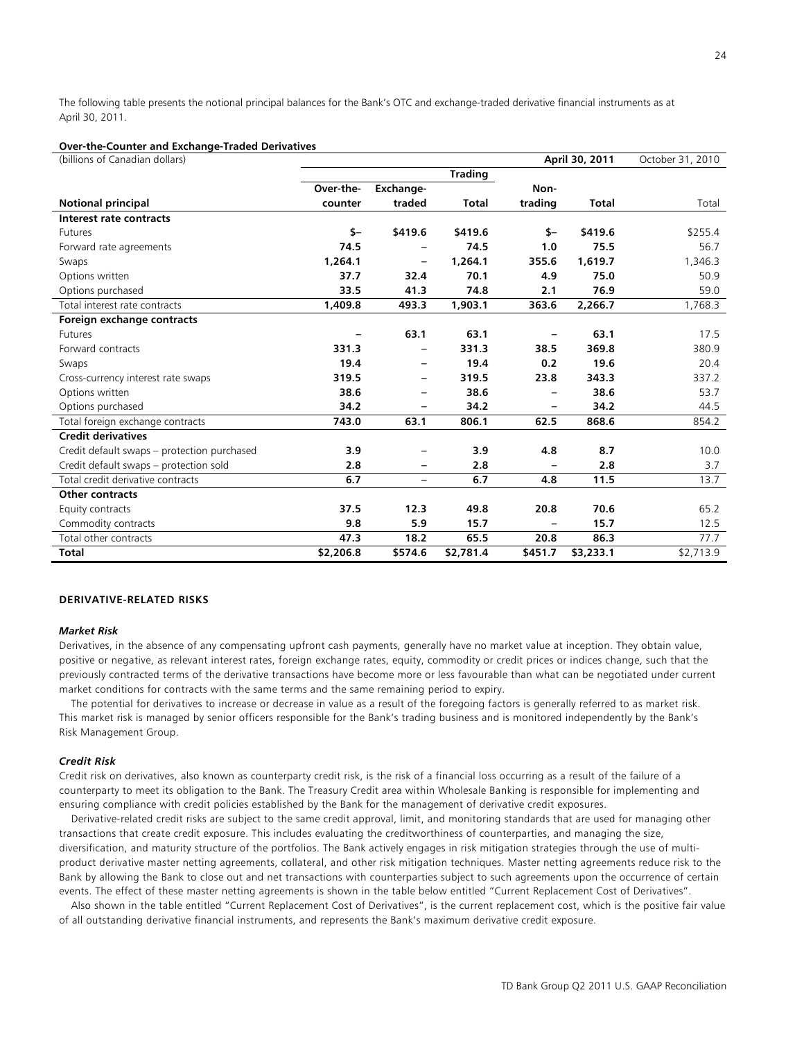The following table presents the notional principal balances for the Bank's OTC and exchange-traded derivative financial instruments as at April 30, 2011.

#### **Over-the-Counter and Exchange-Traded Derivatives**

(billions of Canadian dollars) **April 30, 2011** October 31, 2010

|                                             |           |                          | <b>Trading</b> |                          |              |           |
|---------------------------------------------|-----------|--------------------------|----------------|--------------------------|--------------|-----------|
|                                             | Over-the- | Exchange-                |                | Non-                     |              |           |
| <b>Notional principal</b>                   | counter   | traded                   | <b>Total</b>   | trading                  | <b>Total</b> | Total     |
| Interest rate contracts                     |           |                          |                |                          |              |           |
| Futures                                     | $S-$      | \$419.6                  | \$419.6        | $S-$                     | \$419.6      | \$255.4   |
| Forward rate agreements                     | 74.5      |                          | 74.5           | 1.0                      | 75.5         | 56.7      |
| Swaps                                       | 1,264.1   | -                        | 1,264.1        | 355.6                    | 1,619.7      | 1,346.3   |
| Options written                             | 37.7      | 32.4                     | 70.1           | 4.9                      | 75.0         | 50.9      |
| Options purchased                           | 33.5      | 41.3                     | 74.8           | 2.1                      | 76.9         | 59.0      |
| Total interest rate contracts               | 1,409.8   | 493.3                    | 1,903.1        | 363.6                    | 2,266.7      | 1,768.3   |
| Foreign exchange contracts                  |           |                          |                |                          |              |           |
| Futures                                     |           | 63.1                     | 63.1           | $\overline{\phantom{0}}$ | 63.1         | 17.5      |
| Forward contracts                           | 331.3     |                          | 331.3          | 38.5                     | 369.8        | 380.9     |
| Swaps                                       | 19.4      | -                        | 19.4           | 0.2                      | 19.6         | 20.4      |
| Cross-currency interest rate swaps          | 319.5     | -                        | 319.5          | 23.8                     | 343.3        | 337.2     |
| Options written                             | 38.6      | -                        | 38.6           | $\overline{\phantom{0}}$ | 38.6         | 53.7      |
| Options purchased                           | 34.2      |                          | 34.2           | -                        | 34.2         | 44.5      |
| Total foreign exchange contracts            | 743.0     | 63.1                     | 806.1          | 62.5                     | 868.6        | 854.2     |
| <b>Credit derivatives</b>                   |           |                          |                |                          |              |           |
| Credit default swaps – protection purchased | 3.9       |                          | 3.9            | 4.8                      | 8.7          | 10.0      |
| Credit default swaps - protection sold      | 2.8       | -                        | 2.8            |                          | 2.8          | 3.7       |
| Total credit derivative contracts           | 6.7       | $\overline{\phantom{0}}$ | 6.7            | 4.8                      | 11.5         | 13.7      |
| Other contracts                             |           |                          |                |                          |              |           |
| Equity contracts                            | 37.5      | 12.3                     | 49.8           | 20.8                     | 70.6         | 65.2      |
| Commodity contracts                         | 9.8       | 5.9                      | 15.7           | $\overline{\phantom{0}}$ | 15.7         | 12.5      |
| Total other contracts                       | 47.3      | 18.2                     | 65.5           | 20.8                     | 86.3         | 77.7      |
| <b>Total</b>                                | \$2,206.8 | \$574.6                  | \$2,781.4      | \$451.7                  | \$3,233.1    | \$2,713.9 |

## **DERIVATIVE-RELATED RISKS**

#### *Market Risk*

Derivatives, in the absence of any compensating upfront cash payments, generally have no market value at inception. They obtain value, positive or negative, as relevant interest rates, foreign exchange rates, equity, commodity or credit prices or indices change, such that the previously contracted terms of the derivative transactions have become more or less favourable than what can be negotiated under current market conditions for contracts with the same terms and the same remaining period to expiry.

 The potential for derivatives to increase or decrease in value as a result of the foregoing factors is generally referred to as market risk. This market risk is managed by senior officers responsible for the Bank's trading business and is monitored independently by the Bank's Risk Management Group.

## *Credit Risk*

Credit risk on derivatives, also known as counterparty credit risk, is the risk of a financial loss occurring as a result of the failure of a counterparty to meet its obligation to the Bank. The Treasury Credit area within Wholesale Banking is responsible for implementing and ensuring compliance with credit policies established by the Bank for the management of derivative credit exposures.

 Derivative-related credit risks are subject to the same credit approval, limit, and monitoring standards that are used for managing other transactions that create credit exposure. This includes evaluating the creditworthiness of counterparties, and managing the size, diversification, and maturity structure of the portfolios. The Bank actively engages in risk mitigation strategies through the use of multiproduct derivative master netting agreements, collateral, and other risk mitigation techniques. Master netting agreements reduce risk to the Bank by allowing the Bank to close out and net transactions with counterparties subject to such agreements upon the occurrence of certain events. The effect of these master netting agreements is shown in the table below entitled "Current Replacement Cost of Derivatives".

 Also shown in the table entitled "Current Replacement Cost of Derivatives", is the current replacement cost, which is the positive fair value of all outstanding derivative financial instruments, and represents the Bank's maximum derivative credit exposure.